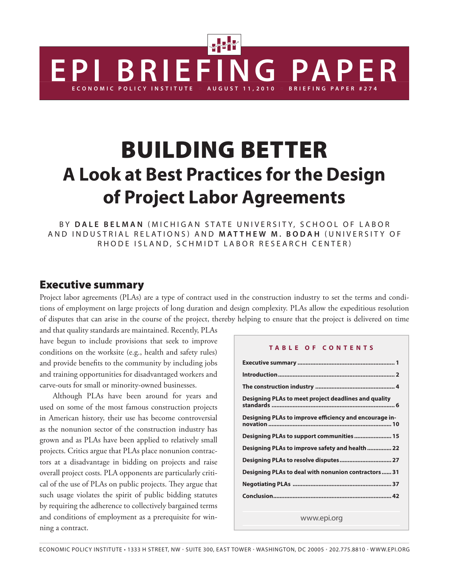# Building Better **A Look at Best Practices for the Design of Project Labor Agreements**

**EPI BRIEFING PAPER**

By **D a l e B e l m an** ( M i c h igan S tat e U niv e rsit y, S c h ool of L a b o r a n d I n d ustrial Re lations) an d **Matth e w M . Bo da h** ( U niv e r s i t y o f RHODE ISLAND, SCHMIDT LABOR RESEARCH CENTER)

### Executive summary

Project labor agreements (PLAs) are a type of contract used in the construction industry to set the terms and conditions of employment on large projects of long duration and design complexity. PLAs allow the expeditious resolution of disputes that can arise in the course of the project, thereby helping to ensure that the project is delivered on time

and that quality standards are maintained. Recently, PLAs have begun to include provisions that seek to improve conditions on the worksite (e.g., health and safety rules) and provide benefits to the community by including jobs and training opportunities for disadvantaged workers and carve-outs for small or minority-owned businesses.

Although PLAs have been around for years and used on some of the most famous construction projects in American history, their use has become controversial as the nonunion sector of the construction industry has grown and as PLAs have been applied to relatively small projects. Critics argue that PLAs place nonunion contractors at a disadvantage in bidding on projects and raise overall project costs. PLA opponents are particularly critical of the use of PLAs on public projects. They argue that such usage violates the spirit of public bidding statutes by requiring the adherence to collectively bargained terms and conditions of employment as a prerequisite for winning a contract.

#### **T abl e of Con t e n t s**

**FFING PAPER** 

| Designing PLAs to meet project deadlines and quality   |
|--------------------------------------------------------|
| Designing PLAs to improve efficiency and encourage in- |
| Designing PLAs to support communities 15               |
| Designing PLAs to improve safety and health  22        |
| Designing PLAs to resolve disputes 27                  |
| Designing PLAs to deal with nonunion contractors  31   |
|                                                        |
|                                                        |
|                                                        |

www.epi.org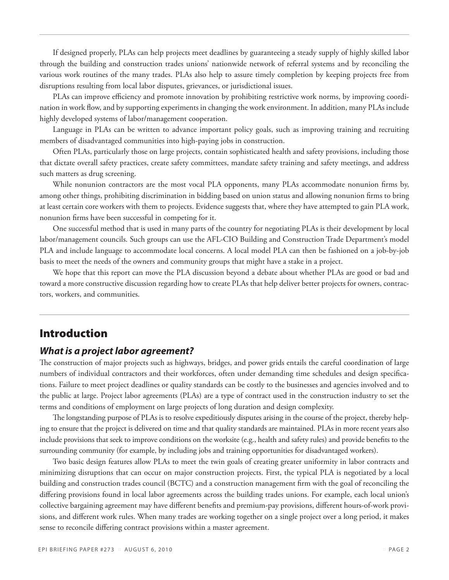If designed properly, PLAs can help projects meet deadlines by guaranteeing a steady supply of highly skilled labor through the building and construction trades unions' nationwide network of referral systems and by reconciling the various work routines of the many trades. PLAs also help to assure timely completion by keeping projects free from disruptions resulting from local labor disputes, grievances, or jurisdictional issues.

PLAs can improve efficiency and promote innovation by prohibiting restrictive work norms, by improving coordination in work flow, and by supporting experiments in changing the work environment. In addition, many PLAs include highly developed systems of labor/management cooperation.

Language in PLAs can be written to advance important policy goals, such as improving training and recruiting members of disadvantaged communities into high-paying jobs in construction.

Often PLAs, particularly those on large projects, contain sophisticated health and safety provisions, including those that dictate overall safety practices, create safety committees, mandate safety training and safety meetings, and address such matters as drug screening.

While nonunion contractors are the most vocal PLA opponents, many PLAs accommodate nonunion firms by, among other things, prohibiting discrimination in bidding based on union status and allowing nonunion firms to bring at least certain core workers with them to projects. Evidence suggests that, where they have attempted to gain PLA work, nonunion firms have been successful in competing for it.

One successful method that is used in many parts of the country for negotiating PLAs is their development by local labor/management councils. Such groups can use the AFL-CIO Building and Construction Trade Department's model PLA and include language to accommodate local concerns. A local model PLA can then be fashioned on a job-by-job basis to meet the needs of the owners and community groups that might have a stake in a project.

We hope that this report can move the PLA discussion beyond a debate about whether PLAs are good or bad and toward a more constructive discussion regarding how to create PLAs that help deliver better projects for owners, contractors, workers, and communities.

### Introduction

#### *What is a project labor agreement?*

The construction of major projects such as highways, bridges, and power grids entails the careful coordination of large numbers of individual contractors and their workforces, often under demanding time schedules and design specifications. Failure to meet project deadlines or quality standards can be costly to the businesses and agencies involved and to the public at large. Project labor agreements (PLAs) are a type of contract used in the construction industry to set the terms and conditions of employment on large projects of long duration and design complexity.

The longstanding purpose of PLAs is to resolve expeditiously disputes arising in the course of the project, thereby helping to ensure that the project is delivered on time and that quality standards are maintained. PLAs in more recent years also include provisions that seek to improve conditions on the worksite (e.g., health and safety rules) and provide benefits to the surrounding community (for example, by including jobs and training opportunities for disadvantaged workers).

Two basic design features allow PLAs to meet the twin goals of creating greater uniformity in labor contracts and minimizing disruptions that can occur on major construction projects. First, the typical PLA is negotiated by a local building and construction trades council (BCTC) and a construction management firm with the goal of reconciling the differing provisions found in local labor agreements across the building trades unions. For example, each local union's collective bargaining agreement may have different benefits and premium-pay provisions, different hours-of-work provisions, and different work rules. When many trades are working together on a single project over a long period, it makes sense to reconcile differing contract provisions within a master agreement.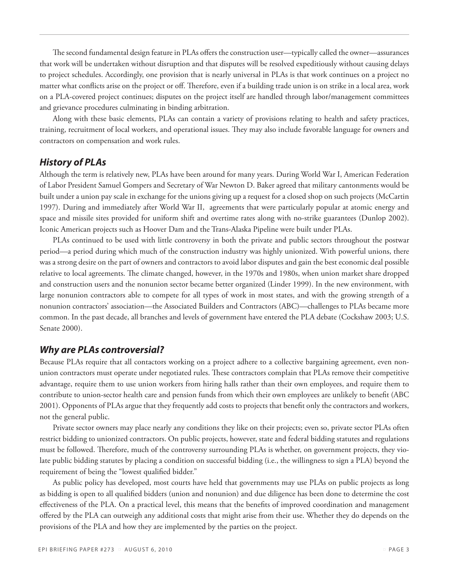The second fundamental design feature in PLAs offers the construction user—typically called the owner—assurances that work will be undertaken without disruption and that disputes will be resolved expeditiously without causing delays to project schedules. Accordingly, one provision that is nearly universal in PLAs is that work continues on a project no matter what conflicts arise on the project or off. Therefore, even if a building trade union is on strike in a local area, work on a PLA-covered project continues; disputes on the project itself are handled through labor/management committees and grievance procedures culminating in binding arbitration.

Along with these basic elements, PLAs can contain a variety of provisions relating to health and safety practices, training, recruitment of local workers, and operational issues. They may also include favorable language for owners and contractors on compensation and work rules.

#### *History of PLAs*

Although the term is relatively new, PLAs have been around for many years. During World War I, American Federation of Labor President Samuel Gompers and Secretary of War Newton D. Baker agreed that military cantonments would be built under a union pay scale in exchange for the unions giving up a request for a closed shop on such projects (McCartin 1997). During and immediately after World War II, agreements that were particularly popular at atomic energy and space and missile sites provided for uniform shift and overtime rates along with no-strike guarantees (Dunlop 2002). Iconic American projects such as Hoover Dam and the Trans-Alaska Pipeline were built under PLAs.

PLAs continued to be used with little controversy in both the private and public sectors throughout the postwar period—a period during which much of the construction industry was highly unionized. With powerful unions, there was a strong desire on the part of owners and contractors to avoid labor disputes and gain the best economic deal possible relative to local agreements. The climate changed, however, in the 1970s and 1980s, when union market share dropped and construction users and the nonunion sector became better organized (Linder 1999). In the new environment, with large nonunion contractors able to compete for all types of work in most states, and with the growing strength of a nonunion contractors' association—the Associated Builders and Contractors (ABC)—challenges to PLAs became more common. In the past decade, all branches and levels of government have entered the PLA debate (Cockshaw 2003; U.S. Senate 2000).

#### *Why are PLAs controversial?*

Because PLAs require that all contactors working on a project adhere to a collective bargaining agreement, even nonunion contractors must operate under negotiated rules. These contractors complain that PLAs remove their competitive advantage, require them to use union workers from hiring halls rather than their own employees, and require them to contribute to union-sector health care and pension funds from which their own employees are unlikely to benefit (ABC 2001). Opponents of PLAs argue that they frequently add costs to projects that benefit only the contractors and workers, not the general public.

Private sector owners may place nearly any conditions they like on their projects; even so, private sector PLAs often restrict bidding to unionized contractors. On public projects, however, state and federal bidding statutes and regulations must be followed. Therefore, much of the controversy surrounding PLAs is whether, on government projects, they violate public bidding statutes by placing a condition on successful bidding (i.e., the willingness to sign a PLA) beyond the requirement of being the "lowest qualified bidder."

As public policy has developed, most courts have held that governments may use PLAs on public projects as long as bidding is open to all qualified bidders (union and nonunion) and due diligence has been done to determine the cost effectiveness of the PLA. On a practical level, this means that the benefits of improved coordination and management offered by the PLA can outweigh any additional costs that might arise from their use. Whether they do depends on the provisions of the PLA and how they are implemented by the parties on the project.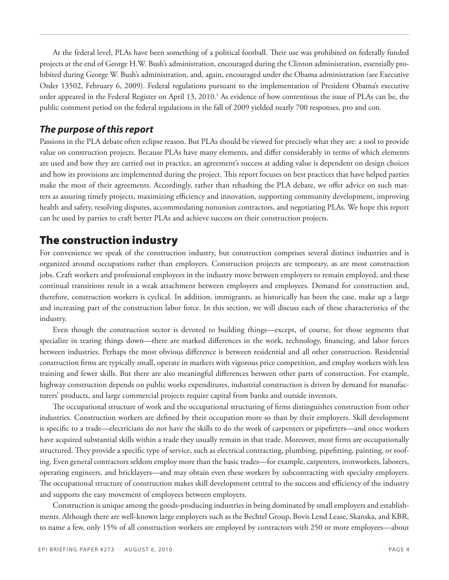At the federal level, PLAs have been something of a political football. Their use was prohibited on federally funded projects at the end of George H.W. Bush's administration, encouraged during the Clinton administration, essentially prohibited during George W. Bush's administration, and, again, encouraged under the Obama administration (see Executive Order 13502, February 6, 2009). Federal regulations pursuant to the implementation of President Obama's executive order appeared in the Federal Register on April 13, 2010.<sup>1</sup> As evidence of how contentious the issue of PLAs can be, the public comment period on the federal regulations in the fall of 2009 yielded nearly 700 responses, pro and con.

### *The purpose of this report*

Passions in the PLA debate often eclipse reason. But PLAs should be viewed for precisely what they are: a tool to provide value on construction projects. Because PLAs have many elements, and differ considerably in terms of which elements are used and how they are carried out in practice, an agreement's success at adding value is dependent on design choices and how its provisions are implemented during the project. This report focuses on best practices that have helped parties make the most of their agreements. Accordingly, rather than rehashing the PLA debate, we offer advice on such matters as assuring timely projects, maximizing efficiency and innovation, supporting community development, improving health and safety, resolving disputes, accommodating nonunion contractors, and negotiating PLAs. We hope this report can be used by parties to craft better PLAs and achieve success on their construction projects.

# The construction industry

For convenience we speak of the construction industry, but construction comprises several distinct industries and is organized around occupations rather than employers. Construction projects are temporary, as are most construction jobs. Craft workers and professional employees in the industry move between employers to remain employed, and these continual transitions result in a weak attachment between employers and employees. Demand for construction and, therefore, construction workers is cyclical. In addition, immigrants, as historically has been the case, make up a large and increasing part of the construction labor force. In this section, we will discuss each of these characteristics of the industry.

Even though the construction sector is devoted to building things—except, of course, for those segments that specialize in tearing things down—there are marked differences in the work, technology, financing, and labor forces between industries. Perhaps the most obvious difference is between residential and all other construction. Residential construction firms are typically small, operate in markets with vigorous price competition, and employ workers with less training and fewer skills. But there are also meaningful differences between other parts of construction. For example, highway construction depends on public works expenditures, industrial construction is driven by demand for manufacturers' products, and large commercial projects require capital from banks and outside investors.

The occupational structure of work and the occupational structuring of firms distinguishes construction from other industries. Construction workers are defined by their occupation more so than by their employers. Skill development is specific to a trade—electricians do not have the skills to do the work of carpenters or pipefitters—and once workers have acquired substantial skills within a trade they usually remain in that trade. Moreover, most firms are occupationally structured. They provide a specific type of service, such as electrical contracting, plumbing, pipefitting, painting, or roofing. Even general contractors seldom employ more than the basic trades—for example, carpenters, ironworkers, laborers, operating engineers, and bricklayers—and may obtain even these workers by subcontracting with specialty employers. The occupational structure of construction makes skill development central to the success and efficiency of the industry and supports the easy movement of employees between employers.

Construction is unique among the goods-producing industries in being dominated by small employers and establishments. Although there are well-known large employers such as the Bechtel Group, Bovis Lend Lease, Skanska, and KBR, to name a few, only 15% of all construction workers are employed by contractors with 250 or more employees—about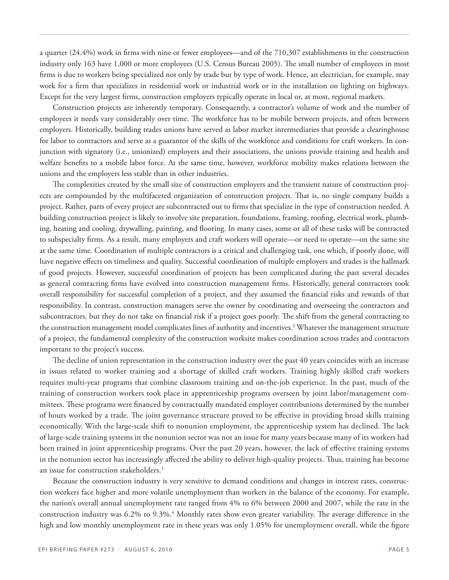a quarter (24.4%) work in firms with nine or fewer employees—and of the 710,307 establishments in the construction industry only 163 have 1,000 or more employees (U.S. Census Bureau 2005). The small number of employees in most firms is due to workers being specialized not only by trade but by type of work. Hence, an electrician, for example, may work for a firm that specializes in residential work or industrial work or in the installation on lighting on highways. Except for the very largest firms, construction employers typically operate in local or, at most, regional markets.

Construction projects are inherently temporary. Consequently, a contractor's volume of work and the number of employees it needs vary considerably over time. The workforce has to be mobile between projects, and often between employers. Historically, building trades unions have served as labor market intermediaries that provide a clearinghouse for labor to contractors and serve as a guarantor of the skills of the workforce and conditions for craft workers. In conjunction with signatory (i.e., unionized) employers and their associations, the unions provide training and health and welfare benefits to a mobile labor force. At the same time, however, workforce mobility makes relations between the unions and the employers less stable than in other industries.

The complexities created by the small size of construction employers and the transient nature of construction projects are compounded by the multifaceted organization of construction projects. That is, no single company builds a project. Rather, parts of every project are subcontracted out to firms that specialize in the type of construction needed. A building construction project is likely to involve site preparation, foundations, framing, roofing, electrical work, plumbing, heating and cooling, drywalling, painting, and flooring. In many cases, some or all of these tasks will be contracted to subspecialty firms. As a result, many employers and craft workers will operate—or need to operate—on the same site at the same time. Coordination of multiple contractors is a critical and challenging task, one which, if poorly done, will have negative effects on timeliness and quality. Successful coordination of multiple employers and trades is the hallmark of good projects. However, successful coordination of projects has been complicated during the past several decades as general contracting firms have evolved into construction management firms. Historically, general contractors took overall responsibility for successful completion of a project, and they assumed the financial risks and rewards of that responsibility. In contrast, construction managers serve the owner by coordinating and overseeing the contractors and subcontractors, but they do not take on financial risk if a project goes poorly. The shift from the general contracting to the construction management model complicates lines of authority and incentives.<sup>2</sup> Whatever the management structure of a project, the fundamental complexity of the construction worksite makes coordination across trades and contractors important to the project's success.

The decline of union representation in the construction industry over the past 40 years coincides with an increase in issues related to worker training and a shortage of skilled craft workers. Training highly skilled craft workers requires multi-year programs that combine classroom training and on-the-job experience. In the past, much of the training of construction workers took place in apprenticeship programs overseen by joint labor/management committees. These programs were financed by contractually mandated employer contributions determined by the number of hours worked by a trade. The joint governance structure proved to be effective in providing broad skills training economically. With the large-scale shift to nonunion employment, the apprenticeship system has declined. The lack of large-scale training systems in the nonunion sector was not an issue for many years because many of its workers had been trained in joint apprenticeship programs. Over the past 20 years, however, the lack of effective training systems in the nonunion sector has increasingly affected the ability to deliver high-quality projects. Thus, training has become an issue for construction stakeholders.3

Because the construction industry is very sensitive to demand conditions and changes in interest rates, construction workers face higher and more volatile unemployment than workers in the balance of the economy. For example, the nation's overall annual unemployment rate ranged from 4% to 6% between 2000 and 2007, while the rate in the construction industry was 6.2% to 9.3%.<sup>4</sup> Monthly rates show even greater variability. The average difference in the high and low monthly unemployment rate in these years was only 1.05% for unemployment overall, while the figure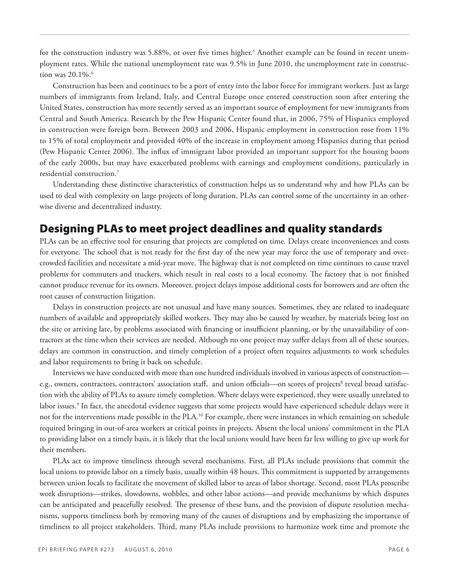for the construction industry was 5.88%, or over five times higher.<sup>5</sup> Another example can be found in recent unemployment rates. While the national unemployment rate was 9.5% in June 2010, the unemployment rate in construction was  $20.1\%$ .

Construction has been and continues to be a port of entry into the labor force for immigrant workers. Just as large numbers of immigrants from Ireland, Italy, and Central Europe once entered construction soon after entering the United States, construction has more recently served as an important source of employment for new immigrants from Central and South America. Research by the Pew Hispanic Center found that, in 2006, 75% of Hispanics employed in construction were foreign born. Between 2003 and 2006, Hispanic employment in construction rose from 11% to 15% of total employment and provided 40% of the increase in employment among Hispanics during that period (Pew Hispanic Center 2006). The influx of immigrant labor provided an important support for the housing boom of the early 2000s, but may have exacerbated problems with earnings and employment conditions, particularly in residential construction.7

Understanding these distinctive characteristics of construction helps us to understand why and how PLAs can be used to deal with complexity on large projects of long duration. PLAs can control some of the uncertainty in an otherwise diverse and decentralized industry.

### Designing PLAs to meet project deadlines and quality standards

PLAs can be an effective tool for ensuring that projects are completed on time. Delays create inconveniences and costs for everyone. The school that is not ready for the first day of the new year may force the use of temporary and overcrowded facilities and necessitate a mid-year move. The highway that is not completed on time continues to cause travel problems for commuters and truckers, which result in real costs to a local economy. The factory that is not finished cannot produce revenue for its owners. Moreover, project delays impose additional costs for borrowers and are often the root causes of construction litigation.

Delays in construction projects are not unusual and have many sources. Sometimes, they are related to inadequate numbers of available and appropriately skilled workers. They may also be caused by weather, by materials being lost on the site or arriving late, by problems associated with financing or insufficient planning, or by the unavailability of contractors at the time when their services are needed. Although no one project may suffer delays from all of these sources, delays are common in construction, and timely completion of a project often requires adjustments to work schedules and labor requirements to bring it back on schedule.

Interviews we have conducted with more than one hundred individuals involved in various aspects of construction e.g., owners, contractors, contractors' association staff, and union officials—on scores of projects<sup>8</sup> reveal broad satisfaction with the ability of PLAs to assure timely completion. Where delays were experienced, they were usually unrelated to labor issues.<sup>9</sup> In fact, the anecdotal evidence suggests that some projects would have experienced schedule delays were it not for the interventions made possible in the PLA.<sup>10</sup> For example, there were instances in which remaining on schedule required bringing in out-of-area workers at critical points in projects. Absent the local unions' commitment in the PLA to providing labor on a timely basis, it is likely that the local unions would have been far less willing to give up work for their members.

PLAs act to improve timeliness through several mechanisms. First, all PLAs include provisions that commit the local unions to provide labor on a timely basis, usually within 48 hours. This commitment is supported by arrangements between union locals to facilitate the movement of skilled labor to areas of labor shortage. Second, most PLAs proscribe work disruptions—strikes, slowdowns, wobbles, and other labor actions—and provide mechanisms by which disputes can be anticipated and peacefully resolved. The presence of these bans, and the provision of dispute resolution mechanisms, supports timeliness both by removing many of the causes of disruptions and by emphasizing the importance of timeliness to all project stakeholders. Third, many PLAs include provisions to harmonize work time and promote the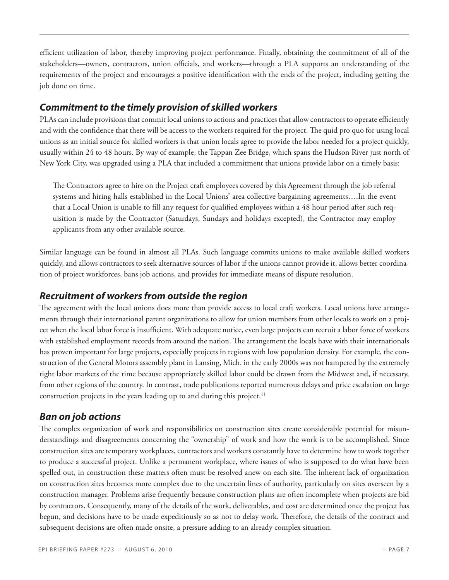efficient utilization of labor, thereby improving project performance. Finally, obtaining the commitment of all of the stakeholders—owners, contractors, union officials, and workers—through a PLA supports an understanding of the requirements of the project and encourages a positive identification with the ends of the project, including getting the job done on time.

### *Commitment to the timely provision of skilled workers*

PLAs can include provisions that commit local unions to actions and practices that allow contractors to operate efficiently and with the confidence that there will be access to the workers required for the project. The quid pro quo for using local unions as an initial source for skilled workers is that union locals agree to provide the labor needed for a project quickly, usually within 24 to 48 hours. By way of example, the Tappan Zee Bridge, which spans the Hudson River just north of New York City, was upgraded using a PLA that included a commitment that unions provide labor on a timely basis:

The Contractors agree to hire on the Project craft employees covered by this Agreement through the job referral systems and hiring halls established in the Local Unions' area collective bargaining agreements….In the event that a Local Union is unable to fill any request for qualified employees within a 48 hour period after such requisition is made by the Contractor (Saturdays, Sundays and holidays excepted), the Contractor may employ applicants from any other available source.

Similar language can be found in almost all PLAs. Such language commits unions to make available skilled workers quickly, and allows contractors to seek alternative sources of labor if the unions cannot provide it, allows better coordination of project workforces, bans job actions, and provides for immediate means of dispute resolution.

### *Recruitment of workers from outside the region*

The agreement with the local unions does more than provide access to local craft workers. Local unions have arrangements through their international parent organizations to allow for union members from other locals to work on a project when the local labor force is insufficient. With adequate notice, even large projects can recruit a labor force of workers with established employment records from around the nation. The arrangement the locals have with their internationals has proven important for large projects, especially projects in regions with low population density. For example, the construction of the General Motors assembly plant in Lansing, Mich. in the early 2000s was not hampered by the extremely tight labor markets of the time because appropriately skilled labor could be drawn from the Midwest and, if necessary, from other regions of the country. In contrast, trade publications reported numerous delays and price escalation on large construction projects in the years leading up to and during this project.<sup>11</sup>

### *Ban on job actions*

The complex organization of work and responsibilities on construction sites create considerable potential for misunderstandings and disagreements concerning the "ownership" of work and how the work is to be accomplished. Since construction sites are temporary workplaces, contractors and workers constantly have to determine how to work together to produce a successful project. Unlike a permanent workplace, where issues of who is supposed to do what have been spelled out, in construction these matters often must be resolved anew on each site. The inherent lack of organization on construction sites becomes more complex due to the uncertain lines of authority, particularly on sites overseen by a construction manager. Problems arise frequently because construction plans are often incomplete when projects are bid by contractors. Consequently, many of the details of the work, deliverables, and cost are determined once the project has begun, and decisions have to be made expeditiously so as not to delay work. Therefore, the details of the contract and subsequent decisions are often made onsite, a pressure adding to an already complex situation.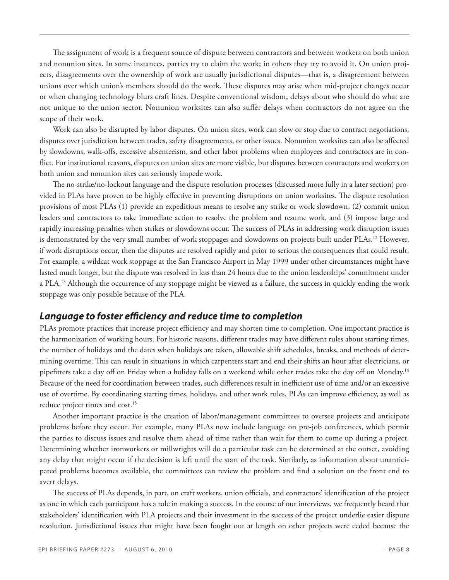The assignment of work is a frequent source of dispute between contractors and between workers on both union and nonunion sites. In some instances, parties try to claim the work; in others they try to avoid it. On union projects, disagreements over the ownership of work are usually jurisdictional disputes—that is, a disagreement between unions over which union's members should do the work. These disputes may arise when mid-project changes occur or when changing technology blurs craft lines. Despite conventional wisdom, delays about who should do what are not unique to the union sector. Nonunion worksites can also suffer delays when contractors do not agree on the scope of their work.

Work can also be disrupted by labor disputes. On union sites, work can slow or stop due to contract negotiations, disputes over jurisdiction between trades, safety disagreements, or other issues. Nonunion worksites can also be affected by slowdowns, walk-offs, excessive absenteeism, and other labor problems when employees and contractors are in conflict. For institutional reasons, disputes on union sites are more visible, but disputes between contractors and workers on both union and nonunion sites can seriously impede work.

The no-strike/no-lockout language and the dispute resolution processes (discussed more fully in a later section) provided in PLAs have proven to be highly effective in preventing disruptions on union worksites. The dispute resolution provisions of most PLAs (1) provide an expeditious means to resolve any strike or work slowdown, (2) commit union leaders and contractors to take immediate action to resolve the problem and resume work, and (3) impose large and rapidly increasing penalties when strikes or slowdowns occur. The success of PLAs in addressing work disruption issues is demonstrated by the very small number of work stoppages and slowdowns on projects built under PLAs.<sup>12</sup> However, if work disruptions occur, then the disputes are resolved rapidly and prior to serious the consequences that could result. For example, a wildcat work stoppage at the San Francisco Airport in May 1999 under other circumstances might have lasted much longer, but the dispute was resolved in less than 24 hours due to the union leaderships' commitment under a PLA.13 Although the occurrence of any stoppage might be viewed as a failure, the success in quickly ending the work stoppage was only possible because of the PLA.

#### *Language to foster efficiency and reduce time to completion*

PLAs promote practices that increase project efficiency and may shorten time to completion. One important practice is the harmonization of working hours. For historic reasons, different trades may have different rules about starting times, the number of holidays and the dates when holidays are taken, allowable shift schedules, breaks, and methods of determining overtime. This can result in situations in which carpenters start and end their shifts an hour after electricians, or pipefitters take a day off on Friday when a holiday falls on a weekend while other trades take the day off on Monday.14 Because of the need for coordination between trades, such differences result in inefficient use of time and/or an excessive use of overtime. By coordinating starting times, holidays, and other work rules, PLAs can improve efficiency, as well as reduce project times and cost.<sup>15</sup>

Another important practice is the creation of labor/management committees to oversee projects and anticipate problems before they occur. For example, many PLAs now include language on pre-job conferences, which permit the parties to discuss issues and resolve them ahead of time rather than wait for them to come up during a project. Determining whether ironworkers or millwrights will do a particular task can be determined at the outset, avoiding any delay that might occur if the decision is left until the start of the task. Similarly, as information about unanticipated problems becomes available, the committees can review the problem and find a solution on the front end to avert delays.

The success of PLAs depends, in part, on craft workers, union officials, and contractors' identification of the project as one in which each participant has a role in making a success. In the course of our interviews, we frequently heard that stakeholders' identification with PLA projects and their investment in the success of the project underlie easier dispute resolution. Jurisdictional issues that might have been fought out at length on other projects were ceded because the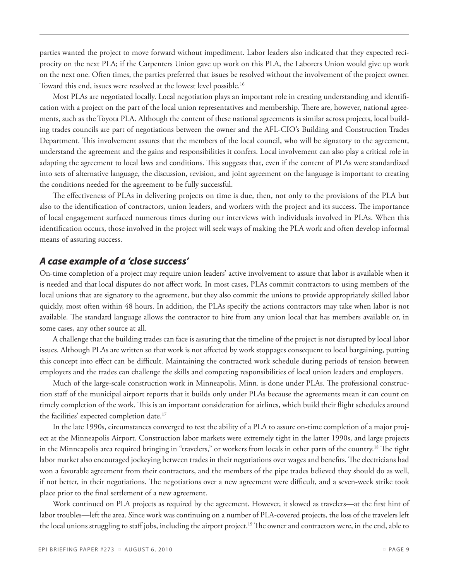parties wanted the project to move forward without impediment. Labor leaders also indicated that they expected reciprocity on the next PLA; if the Carpenters Union gave up work on this PLA, the Laborers Union would give up work on the next one. Often times, the parties preferred that issues be resolved without the involvement of the project owner. Toward this end, issues were resolved at the lowest level possible.16

Most PLAs are negotiated locally. Local negotiation plays an important role in creating understanding and identification with a project on the part of the local union representatives and membership. There are, however, national agreements, such as the Toyota PLA. Although the content of these national agreements is similar across projects, local building trades councils are part of negotiations between the owner and the AFL-CIO's Building and Construction Trades Department. This involvement assures that the members of the local council, who will be signatory to the agreement, understand the agreement and the gains and responsibilities it confers. Local involvement can also play a critical role in adapting the agreement to local laws and conditions. This suggests that, even if the content of PLAs were standardized into sets of alternative language, the discussion, revision, and joint agreement on the language is important to creating the conditions needed for the agreement to be fully successful.

The effectiveness of PLAs in delivering projects on time is due, then, not only to the provisions of the PLA but also to the identification of contractors, union leaders, and workers with the project and its success. The importance of local engagement surfaced numerous times during our interviews with individuals involved in PLAs. When this identification occurs, those involved in the project will seek ways of making the PLA work and often develop informal means of assuring success.

#### *A case example of a 'close success'*

On-time completion of a project may require union leaders' active involvement to assure that labor is available when it is needed and that local disputes do not affect work. In most cases, PLAs commit contractors to using members of the local unions that are signatory to the agreement, but they also commit the unions to provide appropriately skilled labor quickly, most often within 48 hours. In addition, the PLAs specify the actions contractors may take when labor is not available. The standard language allows the contractor to hire from any union local that has members available or, in some cases, any other source at all.

A challenge that the building trades can face is assuring that the timeline of the project is not disrupted by local labor issues. Although PLAs are written so that work is not affected by work stoppages consequent to local bargaining, putting this concept into effect can be difficult. Maintaining the contracted work schedule during periods of tension between employers and the trades can challenge the skills and competing responsibilities of local union leaders and employers.

Much of the large-scale construction work in Minneapolis, Minn. is done under PLAs. The professional construction staff of the municipal airport reports that it builds only under PLAs because the agreements mean it can count on timely completion of the work. This is an important consideration for airlines, which build their flight schedules around the facilities' expected completion date.17

In the late 1990s, circumstances converged to test the ability of a PLA to assure on-time completion of a major project at the Minneapolis Airport. Construction labor markets were extremely tight in the latter 1990s, and large projects in the Minneapolis area required bringing in "travelers," or workers from locals in other parts of the country.<sup>18</sup> The tight labor market also encouraged jockeying between trades in their negotiations over wages and benefits. The electricians had won a favorable agreement from their contractors, and the members of the pipe trades believed they should do as well, if not better, in their negotiations. The negotiations over a new agreement were difficult, and a seven-week strike took place prior to the final settlement of a new agreement.

Work continued on PLA projects as required by the agreement. However, it slowed as travelers—at the first hint of labor troubles—left the area. Since work was continuing on a number of PLA-covered projects, the loss of the travelers left the local unions struggling to staff jobs, including the airport project.19 The owner and contractors were, in the end, able to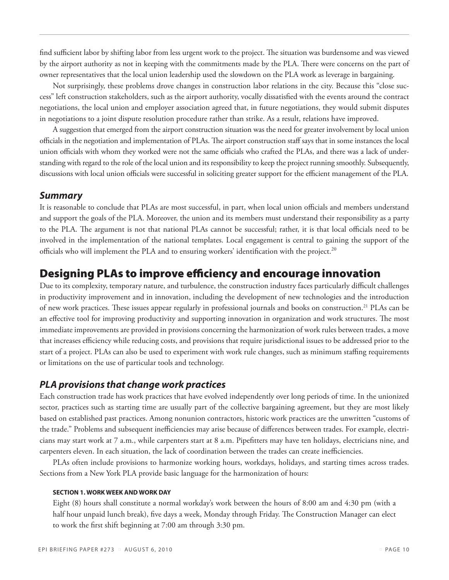find sufficient labor by shifting labor from less urgent work to the project. The situation was burdensome and was viewed by the airport authority as not in keeping with the commitments made by the PLA. There were concerns on the part of owner representatives that the local union leadership used the slowdown on the PLA work as leverage in bargaining.

Not surprisingly, these problems drove changes in construction labor relations in the city. Because this "close success" left construction stakeholders, such as the airport authority, vocally dissatisfied with the events around the contract negotiations, the local union and employer association agreed that, in future negotiations, they would submit disputes in negotiations to a joint dispute resolution procedure rather than strike. As a result, relations have improved.

A suggestion that emerged from the airport construction situation was the need for greater involvement by local union officials in the negotiation and implementation of PLAs. The airport construction staff says that in some instances the local union officials with whom they worked were not the same officials who crafted the PLAs, and there was a lack of understanding with regard to the role of the local union and its responsibility to keep the project running smoothly. Subsequently, discussions with local union officials were successful in soliciting greater support for the efficient management of the PLA.

#### *Summary*

It is reasonable to conclude that PLAs are most successful, in part, when local union officials and members understand and support the goals of the PLA. Moreover, the union and its members must understand their responsibility as a party to the PLA. The argument is not that national PLAs cannot be successful; rather, it is that local officials need to be involved in the implementation of the national templates. Local engagement is central to gaining the support of the officials who will implement the PLA and to ensuring workers' identification with the project.<sup>20</sup>

# Designing PLAs to improve efficiency and encourage innovation

Due to its complexity, temporary nature, and turbulence, the construction industry faces particularly difficult challenges in productivity improvement and in innovation, including the development of new technologies and the introduction of new work practices. These issues appear regularly in professional journals and books on construction.21 PLAs can be an effective tool for improving productivity and supporting innovation in organization and work structures. The most immediate improvements are provided in provisions concerning the harmonization of work rules between trades, a move that increases efficiency while reducing costs, and provisions that require jurisdictional issues to be addressed prior to the start of a project. PLAs can also be used to experiment with work rule changes, such as minimum staffing requirements or limitations on the use of particular tools and technology.

### *PLA provisions that change work practices*

Each construction trade has work practices that have evolved independently over long periods of time. In the unionized sector, practices such as starting time are usually part of the collective bargaining agreement, but they are most likely based on established past practices. Among nonunion contractors, historic work practices are the unwritten "customs of the trade." Problems and subsequent inefficiencies may arise because of differences between trades. For example, electricians may start work at 7 a.m., while carpenters start at 8 a.m. Pipefitters may have ten holidays, electricians nine, and carpenters eleven. In each situation, the lack of coordination between the trades can create inefficiencies.

PLAs often include provisions to harmonize working hours, workdays, holidays, and starting times across trades. Sections from a New York PLA provide basic language for the harmonization of hours:

#### **SECTION 1. WORK WEEK AND WORK DAY**

Eight (8) hours shall constitute a normal workday's work between the hours of 8:00 am and 4:30 pm (with a half hour unpaid lunch break), five days a week, Monday through Friday. The Construction Manager can elect to work the first shift beginning at 7:00 am through 3:30 pm.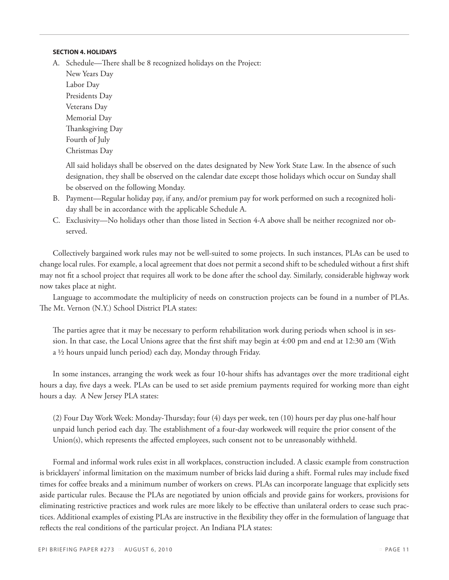#### **SECTION 4. HOLIDAYS**

A. Schedule—There shall be 8 recognized holidays on the Project:

New Years Day Labor Day Presidents Day Veterans Day Memorial Day Thanksgiving Day Fourth of July Christmas Day

All said holidays shall be observed on the dates designated by New York State Law. In the absence of such designation, they shall be observed on the calendar date except those holidays which occur on Sunday shall be observed on the following Monday.

- B. Payment—Regular holiday pay, if any, and/or premium pay for work performed on such a recognized holiday shall be in accordance with the applicable Schedule A.
- C. Exclusivity—No holidays other than those listed in Section 4-A above shall be neither recognized nor observed.

Collectively bargained work rules may not be well-suited to some projects. In such instances, PLAs can be used to change local rules. For example, a local agreement that does not permit a second shift to be scheduled without a first shift may not fit a school project that requires all work to be done after the school day. Similarly, considerable highway work now takes place at night.

Language to accommodate the multiplicity of needs on construction projects can be found in a number of PLAs. The Mt. Vernon (N.Y.) School District PLA states:

The parties agree that it may be necessary to perform rehabilitation work during periods when school is in session. In that case, the Local Unions agree that the first shift may begin at 4:00 pm and end at 12:30 am (With a ½ hours unpaid lunch period) each day, Monday through Friday.

In some instances, arranging the work week as four 10-hour shifts has advantages over the more traditional eight hours a day, five days a week. PLAs can be used to set aside premium payments required for working more than eight hours a day. A New Jersey PLA states:

(2) Four Day Work Week: Monday-Thursday; four (4) days per week, ten (10) hours per day plus one-half hour unpaid lunch period each day. The establishment of a four-day workweek will require the prior consent of the Union(s), which represents the affected employees, such consent not to be unreasonably withheld.

Formal and informal work rules exist in all workplaces, construction included. A classic example from construction is bricklayers' informal limitation on the maximum number of bricks laid during a shift. Formal rules may include fixed times for coffee breaks and a minimum number of workers on crews. PLAs can incorporate language that explicitly sets aside particular rules. Because the PLAs are negotiated by union officials and provide gains for workers, provisions for eliminating restrictive practices and work rules are more likely to be effective than unilateral orders to cease such practices. Additional examples of existing PLAs are instructive in the flexibility they offer in the formulation of language that reflects the real conditions of the particular project. An Indiana PLA states: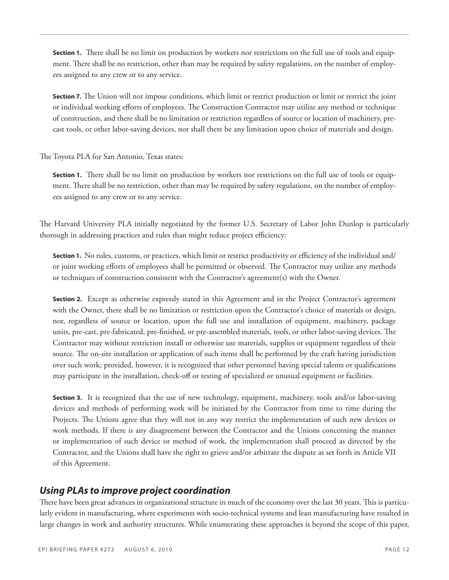**Section 1.** There shall be no limit on production by workers nor restrictions on the full use of tools and equipment. There shall be no restriction, other than may be required by safety regulations, on the number of employees assigned to any crew or to any service.

**Section 7.** The Union will not impose conditions, which limit or restrict production or limit or restrict the joint or individual working efforts of employees. The Construction Contractor may utilize any method or technique of construction, and there shall be no limitation or restriction regardless of source or location of machinery, precast tools, or other labor-saving devices, nor shall there be any limitation upon choice of materials and design.

The Toyota PLA for San Antonio, Texas states:

**Section 1.** There shall be no limit on production by workers nor restrictions on the full use of tools or equipment. There shall be no restriction, other than may be required by safety regulations, on the number of employees assigned to any crew or to any service.

The Harvard University PLA initially negotiated by the former U.S. Secretary of Labor John Dunlop is particularly thorough in addressing practices and rules than might reduce project efficiency:

**Section 1.** No rules, customs, or practices, which limit or restrict productivity or efficiency of the individual and/ or joint working efforts of employees shall be permitted or observed. The Contractor may utilize any methods or techniques of construction consistent with the Contractor's agreement(s) with the Owner.

**Section 2.** Except as otherwise expressly stated in this Agreement and in the Project Contractor's agreement with the Owner, there shall be no limitation or restriction upon the Contractor's choice of materials or design, nor, regardless of source or location, upon the full use and installation of equipment, machinery, package units, pre-cast, pre-fabricated, pre-finished, or pre-assembled materials, tools, or other labor-saving devices. The Contractor may without restriction install or otherwise use materials, supplies or equipment regardless of their source. The on-site installation or application of such items shall be performed by the craft having jurisdiction over such work; provided, however, it is recognized that other personnel having special talents or qualifications may participate in the installation, check-off or testing of specialized or unusual equipment or facilities.

**Section 3.** It is recognized that the use of new technology, equipment, machinery, tools and/or labor-saving devices and methods of performing work will be initiated by the Contractor from time to time during the Projects. The Unions agree that they will not in any way restrict the implementation of such new devices or work methods. If there is any disagreement between the Contractor and the Unions concerning the manner or implementation of such device or method of work, the implementation shall proceed as directed by the Contractor, and the Unions shall have the right to grieve and/or arbitrate the dispute as set forth in Article VII of this Agreement.

# *Using PLAs to improve project coordination*

There have been great advances in organizational structure in much of the economy over the last 30 years. This is particularly evident in manufacturing, where experiments with socio-technical systems and lean manufacturing have resulted in large changes in work and authority structures. While enumerating these approaches is beyond the scope of this paper,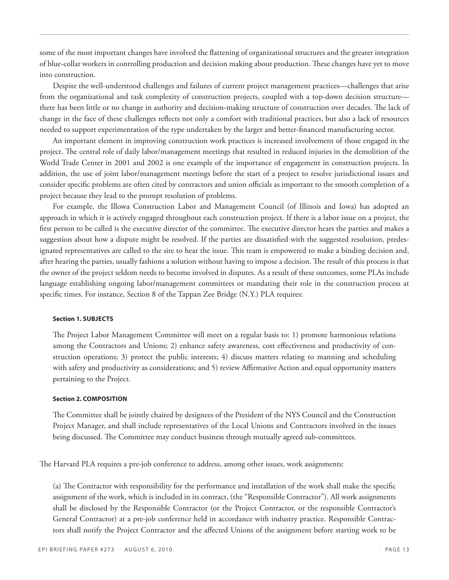some of the most important changes have involved the flattening of organizational structures and the greater integration of blue-collar workers in controlling production and decision making about production. These changes have yet to move into construction.

Despite the well-understood challenges and failures of current project management practices—challenges that arise from the organizational and task complexity of construction projects, coupled with a top-down decision structure there has been little or no change in authority and decision-making structure of construction over decades. The lack of change in the face of these challenges reflects not only a comfort with traditional practices, but also a lack of resources needed to support experimentation of the type undertaken by the larger and better-financed manufacturing sector.

An important element in improving construction work practices is increased involvement of those engaged in the project. The central role of daily labor/management meetings that resulted in reduced injuries in the demolition of the World Trade Center in 2001 and 2002 is one example of the importance of engagement in construction projects. In addition, the use of joint labor/management meetings before the start of a project to resolve jurisdictional issues and consider specific problems are often cited by contractors and union officials as important to the smooth completion of a project because they lead to the prompt resolution of problems.

For example, the Illowa Construction Labor and Management Council (of Illinois and Iowa) has adopted an approach in which it is actively engaged throughout each construction project. If there is a labor issue on a project, the first person to be called is the executive director of the committee. The executive director hears the parties and makes a suggestion about how a dispute might be resolved. If the parties are dissatisfied with the suggested resolution, predesignated representatives are called to the site to hear the issue. This team is empowered to make a binding decision and, after hearing the parties, usually fashions a solution without having to impose a decision. The result of this process is that the owner of the project seldom needs to become involved in disputes. As a result of these outcomes, some PLAs include language establishing ongoing labor/management committees or mandating their role in the construction process at specific times. For instance, Section 8 of the Tappan Zee Bridge (N.Y.) PLA requires:

#### **Section 1. Subjects**

The Project Labor Management Committee will meet on a regular basis to: 1) promote harmonious relations among the Contractors and Unions; 2) enhance safety awareness, cost effectiveness and productivity of construction operations; 3) protect the public interests; 4) discuss matters relating to manning and scheduling with safety and productivity as considerations; and 5) review Affirmative Action and equal opportunity matters pertaining to the Project.

#### **Section 2. Composition**

The Committee shall be jointly chaired by designees of the President of the NYS Council and the Construction Project Manager, and shall include representatives of the Local Unions and Contractors involved in the issues being discussed. The Committee may conduct business through mutually agreed sub-committees.

The Harvard PLA requires a pre-job conference to address, among other issues, work assignments:

(a) The Contractor with responsibility for the performance and installation of the work shall make the specific assignment of the work, which is included in its contract, (the "Responsible Contractor"). All work assignments shall be disclosed by the Responsible Contractor (or the Project Contractor, or the responsible Contractor's General Contractor) at a pre-job conference held in accordance with industry practice. Responsible Contractors shall notify the Project Contractor and the affected Unions of the assignment before starting work to be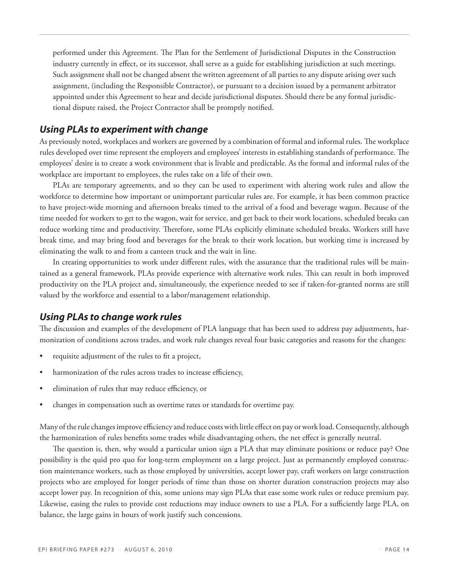performed under this Agreement. The Plan for the Settlement of Jurisdictional Disputes in the Construction industry currently in effect, or its successor, shall serve as a guide for establishing jurisdiction at such meetings. Such assignment shall not be changed absent the written agreement of all parties to any dispute arising over such assignment, (including the Responsible Contractor), or pursuant to a decision issued by a permanent arbitrator appointed under this Agreement to hear and decide jurisdictional disputes. Should there be any formal jurisdictional dispute raised, the Project Contractor shall be promptly notified.

### *Using PLAs to experiment with change*

As previously noted, workplaces and workers are governed by a combination of formal and informal rules. The workplace rules developed over time represent the employers and employees' interests in establishing standards of performance. The employees' desire is to create a work environment that is livable and predictable. As the formal and informal rules of the workplace are important to employees, the rules take on a life of their own.

PLAs are temporary agreements, and so they can be used to experiment with altering work rules and allow the workforce to determine how important or unimportant particular rules are. For example, it has been common practice to have project-wide morning and afternoon breaks timed to the arrival of a food and beverage wagon. Because of the time needed for workers to get to the wagon, wait for service, and get back to their work locations, scheduled breaks can reduce working time and productivity. Therefore, some PLAs explicitly eliminate scheduled breaks. Workers still have break time, and may bring food and beverages for the break to their work location, but working time is increased by eliminating the walk to and from a canteen truck and the wait in line.

In creating opportunities to work under different rules, with the assurance that the traditional rules will be maintained as a general framework, PLAs provide experience with alternative work rules. This can result in both improved productivity on the PLA project and, simultaneously, the experience needed to see if taken-for-granted norms are still valued by the workforce and essential to a labor/management relationship.

### *Using PLAs to change work rules*

The discussion and examples of the development of PLA language that has been used to address pay adjustments, harmonization of conditions across trades, and work rule changes reveal four basic categories and reasons for the changes:

- requisite adjustment of the rules to fit a project,
- harmonization of the rules across trades to increase efficiency,
- elimination of rules that may reduce efficiency, or
- changes in compensation such as overtime rates or standards for overtime pay.

Many of the rule changes improve efficiency and reduce costs with little effect on pay or work load. Consequently, although the harmonization of rules benefits some trades while disadvantaging others, the net effect is generally neutral.

The question is, then, why would a particular union sign a PLA that may eliminate positions or reduce pay? One possibility is the quid pro quo for long-term employment on a large project. Just as permanently employed construction maintenance workers, such as those employed by universities, accept lower pay, craft workers on large construction projects who are employed for longer periods of time than those on shorter duration construction projects may also accept lower pay. In recognition of this, some unions may sign PLAs that ease some work rules or reduce premium pay. Likewise, easing the rules to provide cost reductions may induce owners to use a PLA. For a sufficiently large PLA, on balance, the large gains in hours of work justify such concessions.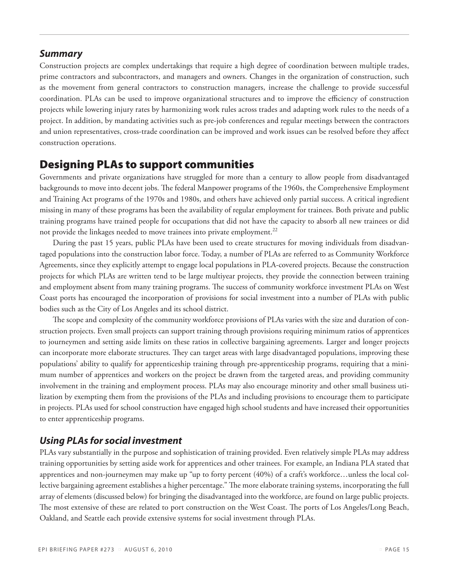#### *Summary*

Construction projects are complex undertakings that require a high degree of coordination between multiple trades, prime contractors and subcontractors, and managers and owners. Changes in the organization of construction, such as the movement from general contractors to construction managers, increase the challenge to provide successful coordination. PLAs can be used to improve organizational structures and to improve the efficiency of construction projects while lowering injury rates by harmonizing work rules across trades and adapting work rules to the needs of a project. In addition, by mandating activities such as pre-job conferences and regular meetings between the contractors and union representatives, cross-trade coordination can be improved and work issues can be resolved before they affect construction operations.

### Designing PLAs to support communities

Governments and private organizations have struggled for more than a century to allow people from disadvantaged backgrounds to move into decent jobs. The federal Manpower programs of the 1960s, the Comprehensive Employment and Training Act programs of the 1970s and 1980s, and others have achieved only partial success. A critical ingredient missing in many of these programs has been the availability of regular employment for trainees. Both private and public training programs have trained people for occupations that did not have the capacity to absorb all new trainees or did not provide the linkages needed to move trainees into private employment.<sup>22</sup>

During the past 15 years, public PLAs have been used to create structures for moving individuals from disadvantaged populations into the construction labor force. Today, a number of PLAs are referred to as Community Workforce Agreements, since they explicitly attempt to engage local populations in PLA-covered projects. Because the construction projects for which PLAs are written tend to be large multiyear projects, they provide the connection between training and employment absent from many training programs. The success of community workforce investment PLAs on West Coast ports has encouraged the incorporation of provisions for social investment into a number of PLAs with public bodies such as the City of Los Angeles and its school district.

The scope and complexity of the community workforce provisions of PLAs varies with the size and duration of construction projects. Even small projects can support training through provisions requiring minimum ratios of apprentices to journeymen and setting aside limits on these ratios in collective bargaining agreements. Larger and longer projects can incorporate more elaborate structures. They can target areas with large disadvantaged populations, improving these populations' ability to qualify for apprenticeship training through pre-apprenticeship programs, requiring that a minimum number of apprentices and workers on the project be drawn from the targeted areas, and providing community involvement in the training and employment process. PLAs may also encourage minority and other small business utilization by exempting them from the provisions of the PLAs and including provisions to encourage them to participate in projects. PLAs used for school construction have engaged high school students and have increased their opportunities to enter apprenticeship programs.

### *Using PLAs for social investment*

PLAs vary substantially in the purpose and sophistication of training provided. Even relatively simple PLAs may address training opportunities by setting aside work for apprentices and other trainees. For example, an Indiana PLA stated that apprentices and non-journeymen may make up "up to forty percent (40%) of a craft's workforce…unless the local collective bargaining agreement establishes a higher percentage." The more elaborate training systems, incorporating the full array of elements (discussed below) for bringing the disadvantaged into the workforce, are found on large public projects. The most extensive of these are related to port construction on the West Coast. The ports of Los Angeles/Long Beach, Oakland, and Seattle each provide extensive systems for social investment through PLAs.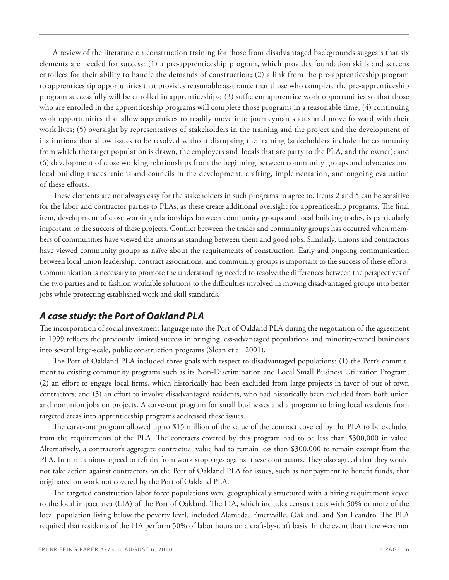A review of the literature on construction training for those from disadvantaged backgrounds suggests that six elements are needed for success: (1) a pre-apprenticeship program, which provides foundation skills and screens enrollees for their ability to handle the demands of construction; (2) a link from the pre-apprenticeship program to apprenticeship opportunities that provides reasonable assurance that those who complete the pre-apprenticeship program successfully will be enrolled in apprenticeships; (3) sufficient apprentice work opportunities so that those who are enrolled in the apprenticeship programs will complete those programs in a reasonable time; (4) continuing work opportunities that allow apprentices to readily move into journeyman status and move forward with their work lives; (5) oversight by representatives of stakeholders in the training and the project and the development of institutions that allow issues to be resolved without disrupting the training (stakeholders include the community from which the target population is drawn, the employers and locals that are party to the PLA, and the owner); and (6) development of close working relationships from the beginning between community groups and advocates and local building trades unions and councils in the development, crafting, implementation, and ongoing evaluation of these efforts.

These elements are not always easy for the stakeholders in such programs to agree to. Items 2 and 5 can be sensitive for the labor and contractor parties to PLAs, as these create additional oversight for apprenticeship programs. The final item, development of close working relationships between community groups and local building trades, is particularly important to the success of these projects. Conflict between the trades and community groups has occurred when members of communities have viewed the unions as standing between them and good jobs. Similarly, unions and contractors have viewed community groups as naïve about the requirements of construction. Early and ongoing communication between local union leadership, contract associations, and community groups is important to the success of these efforts. Communication is necessary to promote the understanding needed to resolve the differences between the perspectives of the two parties and to fashion workable solutions to the difficulties involved in moving disadvantaged groups into better jobs while protecting established work and skill standards.

### *A case study: the Port of Oakland PLA*

The incorporation of social investment language into the Port of Oakland PLA during the negotiation of the agreement in 1999 reflects the previously limited success in bringing less-advantaged populations and minority-owned businesses into several large-scale, public construction programs (Sloan et al. 2001).

The Port of Oakland PLA included three goals with respect to disadvantaged populations: (1) the Port's commitment to existing community programs such as its Non-Discrimination and Local Small Business Utilization Program; (2) an effort to engage local firms, which historically had been excluded from large projects in favor of out-of-town contractors; and (3) an effort to involve disadvantaged residents, who had historically been excluded from both union and nonunion jobs on projects. A carve-out program for small businesses and a program to bring local residents from targeted areas into apprenticeship programs addressed these issues.

The carve-out program allowed up to \$15 million of the value of the contract covered by the PLA to be excluded from the requirements of the PLA. The contracts covered by this program had to be less than \$300,000 in value. Alternatively, a contractor's aggregate contractual value had to remain less than \$300,000 to remain exempt from the PLA. In turn, unions agreed to refrain from work stoppages against these contractors. They also agreed that they would not take action against contractors on the Port of Oakland PLA for issues, such as nonpayment to benefit funds, that originated on work not covered by the Port of Oakland PLA.

The targeted construction labor force populations were geographically structured with a hiring requirement keyed to the local impact area (LIA) of the Port of Oakland. The LIA, which includes census tracts with 50% or more of the local population living below the poverty level, included Alameda, Emeryville, Oakland, and San Leandro. The PLA required that residents of the LIA perform 50% of labor hours on a craft-by-craft basis. In the event that there were not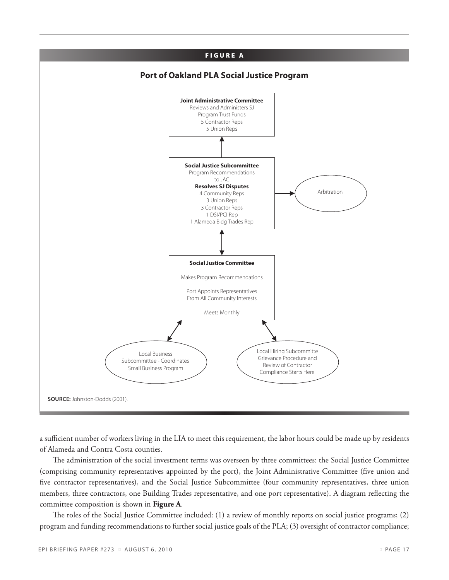

a sufficient number of workers living in the LIA to meet this requirement, the labor hours could be made up by residents of Alameda and Contra Costa counties.

The administration of the social investment terms was overseen by three committees: the Social Justice Committee (comprising community representatives appointed by the port), the Joint Administrative Committee (five union and five contractor representatives), and the Social Justice Subcommittee (four community representatives, three union members, three contractors, one Building Trades representative, and one port representative). A diagram reflecting the committee composition is shown in **Figure A**.

The roles of the Social Justice Committee included: (1) a review of monthly reports on social justice programs; (2) program and funding recommendations to further social justice goals of the PLA; (3) oversight of contractor compliance;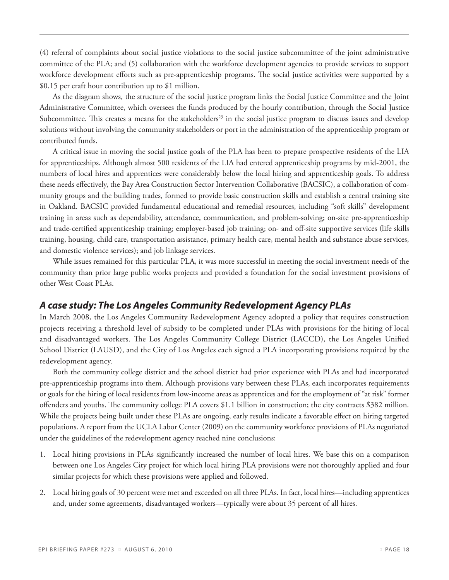(4) referral of complaints about social justice violations to the social justice subcommittee of the joint administrative committee of the PLA; and (5) collaboration with the workforce development agencies to provide services to support workforce development efforts such as pre-apprenticeship programs. The social justice activities were supported by a \$0.15 per craft hour contribution up to \$1 million.

As the diagram shows, the structure of the social justice program links the Social Justice Committee and the Joint Administrative Committee, which oversees the funds produced by the hourly contribution, through the Social Justice Subcommittee. This creates a means for the stakeholders<sup>23</sup> in the social justice program to discuss issues and develop solutions without involving the community stakeholders or port in the administration of the apprenticeship program or contributed funds.

A critical issue in moving the social justice goals of the PLA has been to prepare prospective residents of the LIA for apprenticeships. Although almost 500 residents of the LIA had entered apprenticeship programs by mid-2001, the numbers of local hires and apprentices were considerably below the local hiring and apprenticeship goals. To address these needs effectively, the Bay Area Construction Sector Intervention Collaborative (BACSIC), a collaboration of community groups and the building trades, formed to provide basic construction skills and establish a central training site in Oakland. BACSIC provided fundamental educational and remedial resources, including "soft skills" development training in areas such as dependability, attendance, communication, and problem-solving; on-site pre-apprenticeship and trade-certified apprenticeship training; employer-based job training; on- and off-site supportive services (life skills training, housing, child care, transportation assistance, primary health care, mental health and substance abuse services, and domestic violence services); and job linkage services.

While issues remained for this particular PLA, it was more successful in meeting the social investment needs of the community than prior large public works projects and provided a foundation for the social investment provisions of other West Coast PLAs.

### *A case study: The Los Angeles Community Redevelopment Agency PLAs*

In March 2008, the Los Angeles Community Redevelopment Agency adopted a policy that requires construction projects receiving a threshold level of subsidy to be completed under PLAs with provisions for the hiring of local and disadvantaged workers. The Los Angeles Community College District (LACCD), the Los Angeles Unified School District (LAUSD), and the City of Los Angeles each signed a PLA incorporating provisions required by the redevelopment agency.

Both the community college district and the school district had prior experience with PLAs and had incorporated pre-apprenticeship programs into them. Although provisions vary between these PLAs, each incorporates requirements or goals for the hiring of local residents from low-income areas as apprentices and for the employment of "at risk" former offenders and youths. The community college PLA covers \$1.1 billion in construction; the city contracts \$382 million. While the projects being built under these PLAs are ongoing, early results indicate a favorable effect on hiring targeted populations. A report from the UCLA Labor Center (2009) on the community workforce provisions of PLAs negotiated under the guidelines of the redevelopment agency reached nine conclusions:

- 1. Local hiring provisions in PLAs significantly increased the number of local hires. We base this on a comparison between one Los Angeles City project for which local hiring PLA provisions were not thoroughly applied and four similar projects for which these provisions were applied and followed.
- 2. Local hiring goals of 30 percent were met and exceeded on all three PLAs. In fact, local hires—including apprentices and, under some agreements, disadvantaged workers—typically were about 35 percent of all hires.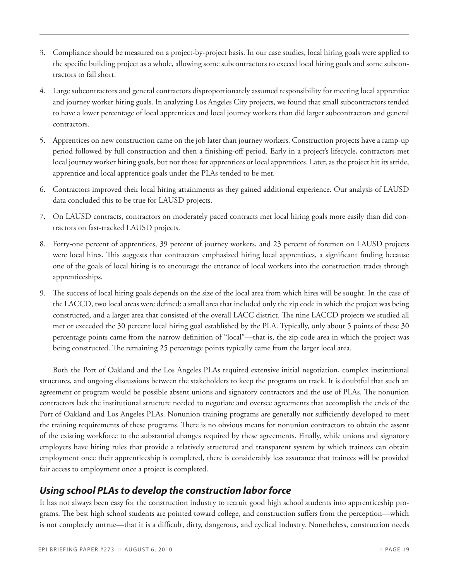- 3. Compliance should be measured on a project-by-project basis. In our case studies, local hiring goals were applied to the specific building project as a whole, allowing some subcontractors to exceed local hiring goals and some subcontractors to fall short.
- 4. Large subcontractors and general contractors disproportionately assumed responsibility for meeting local apprentice and journey worker hiring goals. In analyzing Los Angeles City projects, we found that small subcontractors tended to have a lower percentage of local apprentices and local journey workers than did larger subcontractors and general contractors.
- 5. Apprentices on new construction came on the job later than journey workers. Construction projects have a ramp-up period followed by full construction and then a finishing-off period. Early in a project's lifecycle, contractors met local journey worker hiring goals, but not those for apprentices or local apprentices. Later, as the project hit its stride, apprentice and local apprentice goals under the PLAs tended to be met.
- 6. Contractors improved their local hiring attainments as they gained additional experience. Our analysis of LAUSD data concluded this to be true for LAUSD projects.
- 7. On LAUSD contracts, contractors on moderately paced contracts met local hiring goals more easily than did contractors on fast-tracked LAUSD projects.
- 8. Forty-one percent of apprentices, 39 percent of journey workers, and 23 percent of foremen on LAUSD projects were local hires. This suggests that contractors emphasized hiring local apprentices, a significant finding because one of the goals of local hiring is to encourage the entrance of local workers into the construction trades through apprenticeships.
- 9. The success of local hiring goals depends on the size of the local area from which hires will be sought. In the case of the LACCD, two local areas were defined: a small area that included only the zip code in which the project was being constructed, and a larger area that consisted of the overall LACC district. The nine LACCD projects we studied all met or exceeded the 30 percent local hiring goal established by the PLA. Typically, only about 5 points of these 30 percentage points came from the narrow definition of "local"—that is, the zip code area in which the project was being constructed. The remaining 25 percentage points typically came from the larger local area.

Both the Port of Oakland and the Los Angeles PLAs required extensive initial negotiation, complex institutional structures, and ongoing discussions between the stakeholders to keep the programs on track. It is doubtful that such an agreement or program would be possible absent unions and signatory contractors and the use of PLAs. The nonunion contractors lack the institutional structure needed to negotiate and oversee agreements that accomplish the ends of the Port of Oakland and Los Angeles PLAs. Nonunion training programs are generally not sufficiently developed to meet the training requirements of these programs. There is no obvious means for nonunion contractors to obtain the assent of the existing workforce to the substantial changes required by these agreements. Finally, while unions and signatory employers have hiring rules that provide a relatively structured and transparent system by which trainees can obtain employment once their apprenticeship is completed, there is considerably less assurance that trainees will be provided fair access to employment once a project is completed.

# *Using school PLAs to develop the construction labor force*

It has not always been easy for the construction industry to recruit good high school students into apprenticeship programs. The best high school students are pointed toward college, and construction suffers from the perception—which is not completely untrue—that it is a difficult, dirty, dangerous, and cyclical industry. Nonetheless, construction needs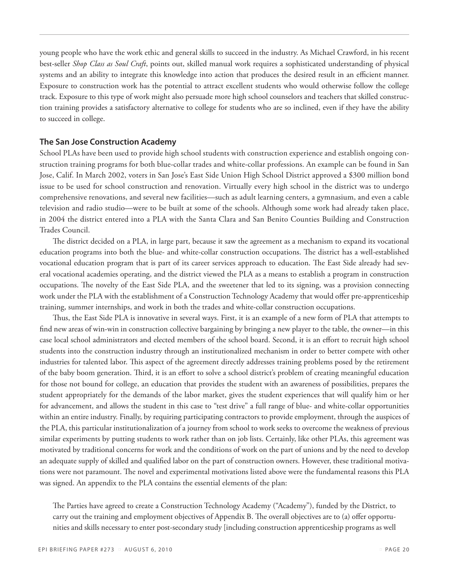young people who have the work ethic and general skills to succeed in the industry. As Michael Crawford, in his recent best-seller *Shop Class as Soul Craft*, points out, skilled manual work requires a sophisticated understanding of physical systems and an ability to integrate this knowledge into action that produces the desired result in an efficient manner. Exposure to construction work has the potential to attract excellent students who would otherwise follow the college track. Exposure to this type of work might also persuade more high school counselors and teachers that skilled construction training provides a satisfactory alternative to college for students who are so inclined, even if they have the ability to succeed in college.

#### **The San Jose Construction Academy**

School PLAs have been used to provide high school students with construction experience and establish ongoing construction training programs for both blue-collar trades and white-collar professions. An example can be found in San Jose, Calif. In March 2002, voters in San Jose's East Side Union High School District approved a \$300 million bond issue to be used for school construction and renovation. Virtually every high school in the district was to undergo comprehensive renovations, and several new facilities—such as adult learning centers, a gymnasium, and even a cable television and radio studio—were to be built at some of the schools. Although some work had already taken place, in 2004 the district entered into a PLA with the Santa Clara and San Benito Counties Building and Construction Trades Council.

The district decided on a PLA, in large part, because it saw the agreement as a mechanism to expand its vocational education programs into both the blue- and white-collar construction occupations. The district has a well-established vocational education program that is part of its career services approach to education. The East Side already had several vocational academies operating, and the district viewed the PLA as a means to establish a program in construction occupations. The novelty of the East Side PLA, and the sweetener that led to its signing, was a provision connecting work under the PLA with the establishment of a Construction Technology Academy that would offer pre-apprenticeship training, summer internships, and work in both the trades and white-collar construction occupations.

Thus, the East Side PLA is innovative in several ways. First, it is an example of a new form of PLA that attempts to find new areas of win-win in construction collective bargaining by bringing a new player to the table, the owner—in this case local school administrators and elected members of the school board. Second, it is an effort to recruit high school students into the construction industry through an institutionalized mechanism in order to better compete with other industries for talented labor. This aspect of the agreement directly addresses training problems posed by the retirement of the baby boom generation. Third, it is an effort to solve a school district's problem of creating meaningful education for those not bound for college, an education that provides the student with an awareness of possibilities, prepares the student appropriately for the demands of the labor market, gives the student experiences that will qualify him or her for advancement, and allows the student in this case to "test drive" a full range of blue- and white-collar opportunities within an entire industry. Finally, by requiring participating contractors to provide employment, through the auspices of the PLA, this particular institutionalization of a journey from school to work seeks to overcome the weakness of previous similar experiments by putting students to work rather than on job lists. Certainly, like other PLAs, this agreement was motivated by traditional concerns for work and the conditions of work on the part of unions and by the need to develop an adequate supply of skilled and qualified labor on the part of construction owners. However, these traditional motivations were not paramount. The novel and experimental motivations listed above were the fundamental reasons this PLA was signed. An appendix to the PLA contains the essential elements of the plan:

The Parties have agreed to create a Construction Technology Academy ("Academy"), funded by the District, to carry out the training and employment objectives of Appendix B. The overall objectives are to (a) offer opportunities and skills necessary to enter post-secondary study [including construction apprenticeship programs as well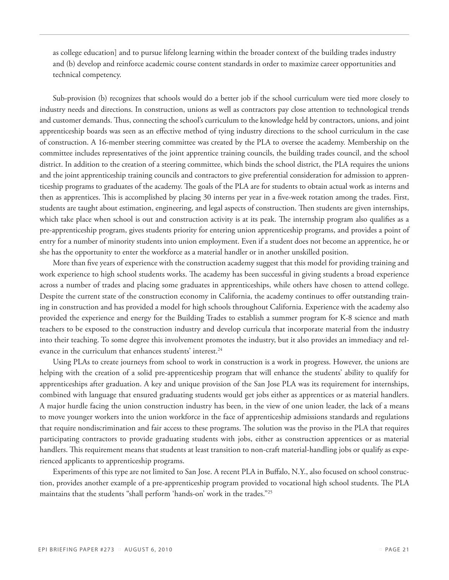as college education] and to pursue lifelong learning within the broader context of the building trades industry and (b) develop and reinforce academic course content standards in order to maximize career opportunities and technical competency.

Sub-provision (b) recognizes that schools would do a better job if the school curriculum were tied more closely to industry needs and directions. In construction, unions as well as contractors pay close attention to technological trends and customer demands. Thus, connecting the school's curriculum to the knowledge held by contractors, unions, and joint apprenticeship boards was seen as an effective method of tying industry directions to the school curriculum in the case of construction. A 16-member steering committee was created by the PLA to oversee the academy. Membership on the committee includes representatives of the joint apprentice training councils, the building trades council, and the school district. In addition to the creation of a steering committee, which binds the school district, the PLA requires the unions and the joint apprenticeship training councils and contractors to give preferential consideration for admission to apprenticeship programs to graduates of the academy. The goals of the PLA are for students to obtain actual work as interns and then as apprentices. This is accomplished by placing 30 interns per year in a five-week rotation among the trades. First, students are taught about estimation, engineering, and legal aspects of construction. Then students are given internships, which take place when school is out and construction activity is at its peak. The internship program also qualifies as a pre-apprenticeship program, gives students priority for entering union apprenticeship programs, and provides a point of entry for a number of minority students into union employment. Even if a student does not become an apprentice, he or she has the opportunity to enter the workforce as a material handler or in another unskilled position.

More than five years of experience with the construction academy suggest that this model for providing training and work experience to high school students works. The academy has been successful in giving students a broad experience across a number of trades and placing some graduates in apprenticeships, while others have chosen to attend college. Despite the current state of the construction economy in California, the academy continues to offer outstanding training in construction and has provided a model for high schools throughout California. Experience with the academy also provided the experience and energy for the Building Trades to establish a summer program for K-8 science and math teachers to be exposed to the construction industry and develop curricula that incorporate material from the industry into their teaching. To some degree this involvement promotes the industry, but it also provides an immediacy and relevance in the curriculum that enhances students' interest.<sup>24</sup>

Using PLAs to create journeys from school to work in construction is a work in progress. However, the unions are helping with the creation of a solid pre-apprenticeship program that will enhance the students' ability to qualify for apprenticeships after graduation. A key and unique provision of the San Jose PLA was its requirement for internships, combined with language that ensured graduating students would get jobs either as apprentices or as material handlers. A major hurdle facing the union construction industry has been, in the view of one union leader, the lack of a means to move younger workers into the union workforce in the face of apprenticeship admissions standards and regulations that require nondiscrimination and fair access to these programs. The solution was the proviso in the PLA that requires participating contractors to provide graduating students with jobs, either as construction apprentices or as material handlers. This requirement means that students at least transition to non-craft material-handling jobs or qualify as experienced applicants to apprenticeship programs.

Experiments of this type are not limited to San Jose. A recent PLA in Buffalo, N.Y., also focused on school construction, provides another example of a pre-apprenticeship program provided to vocational high school students. The PLA maintains that the students "shall perform 'hands-on' work in the trades."25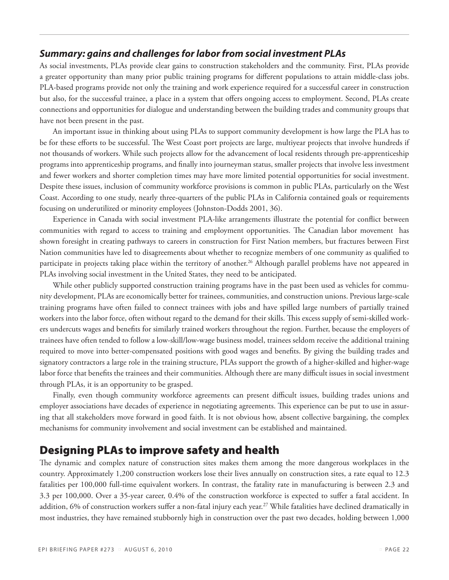#### *Summary: gains and challenges for labor from social investment PLAs*

As social investments, PLAs provide clear gains to construction stakeholders and the community. First, PLAs provide a greater opportunity than many prior public training programs for different populations to attain middle-class jobs. PLA-based programs provide not only the training and work experience required for a successful career in construction but also, for the successful trainee, a place in a system that offers ongoing access to employment. Second, PLAs create connections and opportunities for dialogue and understanding between the building trades and community groups that have not been present in the past.

An important issue in thinking about using PLAs to support community development is how large the PLA has to be for these efforts to be successful. The West Coast port projects are large, multiyear projects that involve hundreds if not thousands of workers. While such projects allow for the advancement of local residents through pre-apprenticeship programs into apprenticeship programs, and finally into journeyman status, smaller projects that involve less investment and fewer workers and shorter completion times may have more limited potential opportunities for social investment. Despite these issues, inclusion of community workforce provisions is common in public PLAs, particularly on the West Coast. According to one study, nearly three-quarters of the public PLAs in California contained goals or requirements focusing on underutilized or minority employees (Johnston-Dodds 2001, 36).

Experience in Canada with social investment PLA-like arrangements illustrate the potential for conflict between communities with regard to access to training and employment opportunities. The Canadian labor movement has shown foresight in creating pathways to careers in construction for First Nation members, but fractures between First Nation communities have led to disagreements about whether to recognize members of one community as qualified to participate in projects taking place within the territory of another.26 Although parallel problems have not appeared in PLAs involving social investment in the United States, they need to be anticipated.

While other publicly supported construction training programs have in the past been used as vehicles for community development, PLAs are economically better for trainees, communities, and construction unions. Previous large-scale training programs have often failed to connect trainees with jobs and have spilled large numbers of partially trained workers into the labor force, often without regard to the demand for their skills. This excess supply of semi-skilled workers undercuts wages and benefits for similarly trained workers throughout the region. Further, because the employers of trainees have often tended to follow a low-skill/low-wage business model, trainees seldom receive the additional training required to move into better-compensated positions with good wages and benefits. By giving the building trades and signatory contractors a large role in the training structure, PLAs support the growth of a higher-skilled and higher-wage labor force that benefits the trainees and their communities. Although there are many difficult issues in social investment through PLAs, it is an opportunity to be grasped.

Finally, even though community workforce agreements can present difficult issues, building trades unions and employer associations have decades of experience in negotiating agreements. This experience can be put to use in assuring that all stakeholders move forward in good faith. It is not obvious how, absent collective bargaining, the complex mechanisms for community involvement and social investment can be established and maintained.

# Designing PLAs to improve safety and health

The dynamic and complex nature of construction sites makes them among the more dangerous workplaces in the country. Approximately 1,200 construction workers lose their lives annually on construction sites, a rate equal to 12.3 fatalities per 100,000 full-time equivalent workers. In contrast, the fatality rate in manufacturing is between 2.3 and 3.3 per 100,000. Over a 35-year career, 0.4% of the construction workforce is expected to suffer a fatal accident. In addition, 6% of construction workers suffer a non-fatal injury each year.<sup>27</sup> While fatalities have declined dramatically in most industries, they have remained stubbornly high in construction over the past two decades, holding between 1,000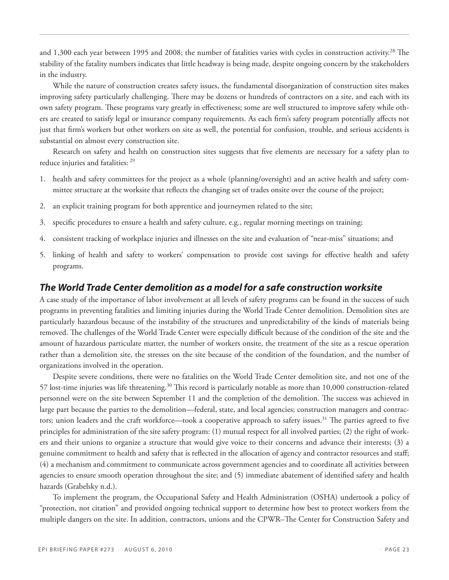and 1,300 each year between 1995 and 2008; the number of fatalities varies with cycles in construction activity.<sup>28</sup> The stability of the fatality numbers indicates that little headway is being made, despite ongoing concern by the stakeholders in the industry.

While the nature of construction creates safety issues, the fundamental disorganization of construction sites makes improving safety particularly challenging. There may be dozens or hundreds of contractors on a site, and each with its own safety program. These programs vary greatly in effectiveness; some are well structured to improve safety while others are created to satisfy legal or insurance company requirements. As each firm's safety program potentially affects not just that firm's workers but other workers on site as well, the potential for confusion, trouble, and serious accidents is substantial on almost every construction site.

Research on safety and health on construction sites suggests that five elements are necessary for a safety plan to reduce injuries and fatalities: 29

- 1. health and safety committees for the project as a whole (planning/oversight) and an active health and safety committee structure at the worksite that reflects the changing set of trades onsite over the course of the project;
- 2. an explicit training program for both apprentice and journeymen related to the site;
- 3. specific procedures to ensure a health and safety culture, e.g., regular morning meetings on training;
- 4. consistent tracking of workplace injuries and illnesses on the site and evaluation of "near-miss" situations; and
- 5. linking of health and safety to workers' compensation to provide cost savings for effective health and safety programs.

#### *The World Trade Center demolition as a model for a safe construction worksite*

A case study of the importance of labor involvement at all levels of safety programs can be found in the success of such programs in preventing fatalities and limiting injuries during the World Trade Center demolition. Demolition sites are particularly hazardous because of the instability of the structures and unpredictability of the kinds of materials being removed. The challenges of the World Trade Center were especially difficult because of the condition of the site and the amount of hazardous particulate matter, the number of workers onsite, the treatment of the site as a rescue operation rather than a demolition site, the stresses on the site because of the condition of the foundation, and the number of organizations involved in the operation.

Despite severe conditions, there were no fatalities on the World Trade Center demolition site, and not one of the 57 lost-time injuries was life threatening.<sup>30</sup> This record is particularly notable as more than 10,000 construction-related personnel were on the site between September 11 and the completion of the demolition. The success was achieved in large part because the parties to the demolition—federal, state, and local agencies; construction managers and contractors; union leaders and the craft workforce—took a cooperative approach to safety issues.<sup>31</sup> The parties agreed to five principles for administration of the site safety program: (1) mutual respect for all involved parties; (2) the right of workers and their unions to organize a structure that would give voice to their concerns and advance their interests; (3) a genuine commitment to health and safety that is reflected in the allocation of agency and contractor resources and staff; (4) a mechanism and commitment to communicate across government agencies and to coordinate all activities between agencies to ensure smooth operation throughout the site; and (5) immediate abatement of identified safety and health hazards (Grabelsky n.d.).

To implement the program, the Occupational Safety and Health Administration (OSHA) undertook a policy of "protection, not citation" and provided ongoing technical support to determine how best to protect workers from the multiple dangers on the site. In addition, contractors, unions and the CPWR–The Center for Construction Safety and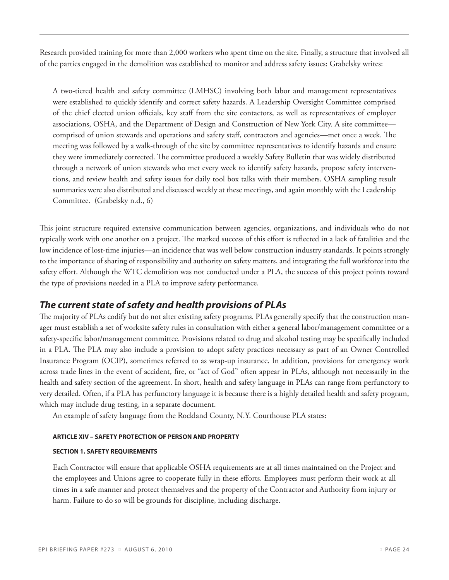Research provided training for more than 2,000 workers who spent time on the site. Finally, a structure that involved all of the parties engaged in the demolition was established to monitor and address safety issues: Grabelsky writes:

A two-tiered health and safety committee (LMHSC) involving both labor and management representatives were established to quickly identify and correct safety hazards. A Leadership Oversight Committee comprised of the chief elected union officials, key staff from the site contactors, as well as representatives of employer associations, OSHA, and the Department of Design and Construction of New York City. A site committee comprised of union stewards and operations and safety staff, contractors and agencies—met once a week. The meeting was followed by a walk-through of the site by committee representatives to identify hazards and ensure they were immediately corrected. The committee produced a weekly Safety Bulletin that was widely distributed through a network of union stewards who met every week to identify safety hazards, propose safety interventions, and review health and safety issues for daily tool box talks with their members. OSHA sampling result summaries were also distributed and discussed weekly at these meetings, and again monthly with the Leadership Committee. (Grabelsky n.d., 6)

This joint structure required extensive communication between agencies, organizations, and individuals who do not typically work with one another on a project. The marked success of this effort is reflected in a lack of fatalities and the low incidence of lost-time injuries—an incidence that was well below construction industry standards. It points strongly to the importance of sharing of responsibility and authority on safety matters, and integrating the full workforce into the safety effort. Although the WTC demolition was not conducted under a PLA, the success of this project points toward the type of provisions needed in a PLA to improve safety performance.

### *The current state of safety and health provisions of PLAs*

The majority of PLAs codify but do not alter existing safety programs. PLAs generally specify that the construction manager must establish a set of worksite safety rules in consultation with either a general labor/management committee or a safety-specific labor/management committee. Provisions related to drug and alcohol testing may be specifically included in a PLA. The PLA may also include a provision to adopt safety practices necessary as part of an Owner Controlled Insurance Program (OCIP), sometimes referred to as wrap-up insurance. In addition, provisions for emergency work across trade lines in the event of accident, fire, or "act of God" often appear in PLAs, although not necessarily in the health and safety section of the agreement. In short, health and safety language in PLAs can range from perfunctory to very detailed. Often, if a PLA has perfunctory language it is because there is a highly detailed health and safety program, which may include drug testing, in a separate document.

An example of safety language from the Rockland County, N.Y. Courthouse PLA states:

#### **ARTICLE XIV – SAFETY PROTECTION OF PERSON AND PROPERTY**

#### **SECTION 1. SAFETY REQUIREMENTS**

Each Contractor will ensure that applicable OSHA requirements are at all times maintained on the Project and the employees and Unions agree to cooperate fully in these efforts. Employees must perform their work at all times in a safe manner and protect themselves and the property of the Contractor and Authority from injury or harm. Failure to do so will be grounds for discipline, including discharge.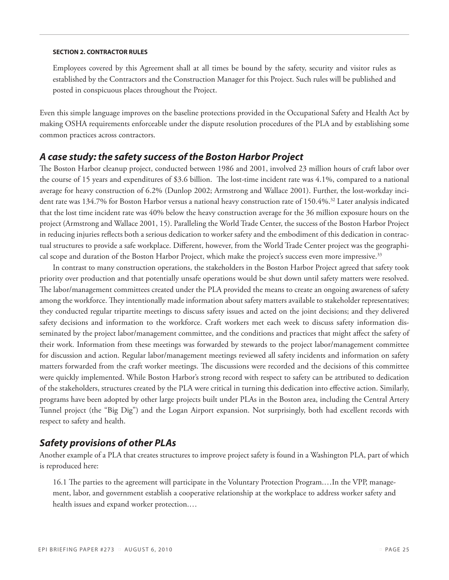#### **SECTION 2. CONTRACTOR RULES**

Employees covered by this Agreement shall at all times be bound by the safety, security and visitor rules as established by the Contractors and the Construction Manager for this Project. Such rules will be published and posted in conspicuous places throughout the Project.

Even this simple language improves on the baseline protections provided in the Occupational Safety and Health Act by making OSHA requirements enforceable under the dispute resolution procedures of the PLA and by establishing some common practices across contractors.

#### *A case study: the safety success of the Boston Harbor Project*

The Boston Harbor cleanup project, conducted between 1986 and 2001, involved 23 million hours of craft labor over the course of 15 years and expenditures of \$3.6 billion. The lost-time incident rate was 4.1%, compared to a national average for heavy construction of 6.2% (Dunlop 2002; Armstrong and Wallace 2001). Further, the lost-workday incident rate was 134.7% for Boston Harbor versus a national heavy construction rate of 150.4%.<sup>32</sup> Later analysis indicated that the lost time incident rate was 40% below the heavy construction average for the 36 million exposure hours on the project (Armstrong and Wallace 2001, 15). Paralleling the World Trade Center, the success of the Boston Harbor Project in reducing injuries reflects both a serious dedication to worker safety and the embodiment of this dedication in contractual structures to provide a safe workplace. Different, however, from the World Trade Center project was the geographical scope and duration of the Boston Harbor Project, which make the project's success even more impressive.<sup>33</sup>

In contrast to many construction operations, the stakeholders in the Boston Harbor Project agreed that safety took priority over production and that potentially unsafe operations would be shut down until safety matters were resolved. The labor/management committees created under the PLA provided the means to create an ongoing awareness of safety among the workforce. They intentionally made information about safety matters available to stakeholder representatives; they conducted regular tripartite meetings to discuss safety issues and acted on the joint decisions; and they delivered safety decisions and information to the workforce. Craft workers met each week to discuss safety information disseminated by the project labor/management committee, and the conditions and practices that might affect the safety of their work. Information from these meetings was forwarded by stewards to the project labor/management committee for discussion and action. Regular labor/management meetings reviewed all safety incidents and information on safety matters forwarded from the craft worker meetings. The discussions were recorded and the decisions of this committee were quickly implemented. While Boston Harbor's strong record with respect to safety can be attributed to dedication of the stakeholders, structures created by the PLA were critical in turning this dedication into effective action. Similarly, programs have been adopted by other large projects built under PLAs in the Boston area, including the Central Artery Tunnel project (the "Big Dig") and the Logan Airport expansion. Not surprisingly, both had excellent records with respect to safety and health.

#### *Safety provisions of other PLAs*

Another example of a PLA that creates structures to improve project safety is found in a Washington PLA, part of which is reproduced here:

16.1 The parties to the agreement will participate in the Voluntary Protection Program.…In the VPP, management, labor, and government establish a cooperative relationship at the workplace to address worker safety and health issues and expand worker protection.…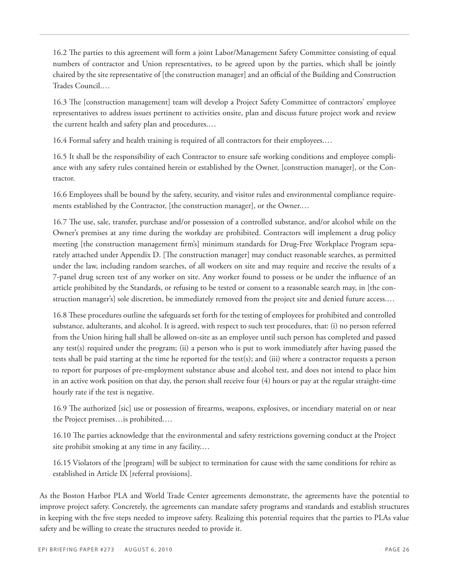16.2 The parties to this agreement will form a joint Labor/Management Safety Committee consisting of equal numbers of contractor and Union representatives, to be agreed upon by the parties, which shall be jointly chaired by the site representative of [the construction manager] and an official of the Building and Construction Trades Council.…

16.3 The [construction management] team will develop a Project Safety Committee of contractors' employee representatives to address issues pertinent to activities onsite, plan and discuss future project work and review the current health and safety plan and procedures.…

16.4 Formal safety and health training is required of all contractors for their employees.…

16.5 It shall be the responsibility of each Contractor to ensure safe working conditions and employee compliance with any safety rules contained herein or established by the Owner, [construction manager], or the Contractor.

16.6 Employees shall be bound by the safety, security, and visitor rules and environmental compliance requirements established by the Contractor, [the construction manager], or the Owner.…

16.7 The use, sale, transfer, purchase and/or possession of a controlled substance, and/or alcohol while on the Owner's premises at any time during the workday are prohibited. Contractors will implement a drug policy meeting [the construction management firm's] minimum standards for Drug-Free Workplace Program separately attached under Appendix D. [The construction manager] may conduct reasonable searches, as permitted under the law, including random searches, of all workers on site and may require and receive the results of a 7-panel drug screen test of any worker on site. Any worker found to possess or be under the influence of an article prohibited by the Standards, or refusing to be tested or consent to a reasonable search may, in [the construction manager's] sole discretion, be immediately removed from the project site and denied future access.…

16.8 These procedures outline the safeguards set forth for the testing of employees for prohibited and controlled substance, adulterants, and alcohol. It is agreed, with respect to such test procedures, that: (i) no person referred from the Union hiring hall shall be allowed on-site as an employee until such person has completed and passed any test(s) required under the program; (ii) a person who is put to work immediately after having passed the tests shall be paid starting at the time he reported for the test(s); and (iii) where a contractor requests a person to report for purposes of pre-employment substance abuse and alcohol test, and does not intend to place him in an active work position on that day, the person shall receive four (4) hours or pay at the regular straight-time hourly rate if the test is negative.

16.9 The authorized [sic] use or possession of firearms, weapons, explosives, or incendiary material on or near the Project premises…is prohibited.…

16.10 The parties acknowledge that the environmental and safety restrictions governing conduct at the Project site prohibit smoking at any time in any facility.…

16.15 Violators of the [program] will be subject to termination for cause with the same conditions for rehire as established in Article IX [referral provisions].

As the Boston Harbor PLA and World Trade Center agreements demonstrate, the agreements have the potential to improve project safety. Concretely, the agreements can mandate safety programs and standards and establish structures in keeping with the five steps needed to improve safety. Realizing this potential requires that the parties to PLAs value safety and be willing to create the structures needed to provide it.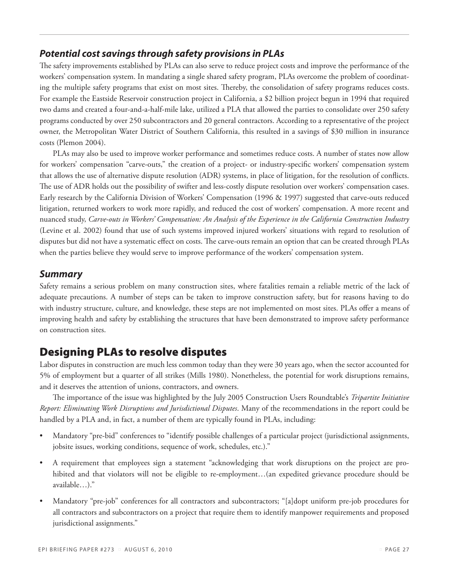### *Potential cost savings through safety provisions in PLAs*

The safety improvements established by PLAs can also serve to reduce project costs and improve the performance of the workers' compensation system. In mandating a single shared safety program, PLAs overcome the problem of coordinating the multiple safety programs that exist on most sites. Thereby, the consolidation of safety programs reduces costs. For example the Eastside Reservoir construction project in California, a \$2 billion project begun in 1994 that required two dams and created a four-and-a-half-mile lake, utilized a PLA that allowed the parties to consolidate over 250 safety programs conducted by over 250 subcontractors and 20 general contractors. According to a representative of the project owner, the Metropolitan Water District of Southern California, this resulted in a savings of \$30 million in insurance costs (Plemon 2004).

PLAs may also be used to improve worker performance and sometimes reduce costs. A number of states now allow for workers' compensation "carve-outs," the creation of a project- or industry-specific workers' compensation system that allows the use of alternative dispute resolution (ADR) systems, in place of litigation, for the resolution of conflicts. The use of ADR holds out the possibility of swifter and less-costly dispute resolution over workers' compensation cases. Early research by the California Division of Workers' Compensation (1996 & 1997) suggested that carve-outs reduced litigation, returned workers to work more rapidly, and reduced the cost of workers' compensation. A more recent and nuanced study, *Carve-outs in Workers' Compensation: An Analysis of the Experience in the California Construction Industry* (Levine et al. 2002) found that use of such systems improved injured workers' situations with regard to resolution of disputes but did not have a systematic effect on costs. The carve-outs remain an option that can be created through PLAs when the parties believe they would serve to improve performance of the workers' compensation system.

#### *Summary*

Safety remains a serious problem on many construction sites, where fatalities remain a reliable metric of the lack of adequate precautions. A number of steps can be taken to improve construction safety, but for reasons having to do with industry structure, culture, and knowledge, these steps are not implemented on most sites. PLAs offer a means of improving health and safety by establishing the structures that have been demonstrated to improve safety performance on construction sites.

# Designing PLAs to resolve disputes

Labor disputes in construction are much less common today than they were 30 years ago, when the sector accounted for 5% of employment but a quarter of all strikes (Mills 1980). Nonetheless, the potential for work disruptions remains, and it deserves the attention of unions, contractors, and owners.

The importance of the issue was highlighted by the July 2005 Construction Users Roundtable's *Tripartite Initiative Report: Eliminating Work Disruptions and Jurisdictional Disputes*. Many of the recommendations in the report could be handled by a PLA and, in fact, a number of them are typically found in PLAs, including:

- Mandatory "pre-bid" conferences to "identify possible challenges of a particular project (jurisdictional assignments, jobsite issues, working conditions, sequence of work, schedules, etc.)."
- A requirement that employees sign a statement "acknowledging that work disruptions on the project are prohibited and that violators will not be eligible to re-employment…(an expedited grievance procedure should be available…)."
- Mandatory "pre-job" conferences for all contractors and subcontractors; "[a]dopt uniform pre-job procedures for all contractors and subcontractors on a project that require them to identify manpower requirements and proposed jurisdictional assignments."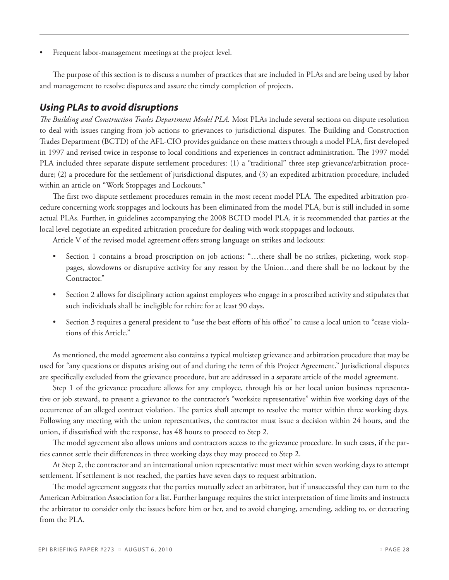Frequent labor-management meetings at the project level.

The purpose of this section is to discuss a number of practices that are included in PLAs and are being used by labor and management to resolve disputes and assure the timely completion of projects.

#### *Using PLAs to avoid disruptions*

*The Building and Construction Trades Department Model PLA.* Most PLAs include several sections on dispute resolution to deal with issues ranging from job actions to grievances to jurisdictional disputes. The Building and Construction Trades Department (BCTD) of the AFL-CIO provides guidance on these matters through a model PLA, first developed in 1997 and revised twice in response to local conditions and experiences in contract administration. The 1997 model PLA included three separate dispute settlement procedures: (1) a "traditional" three step grievance/arbitration procedure; (2) a procedure for the settlement of jurisdictional disputes, and (3) an expedited arbitration procedure, included within an article on "Work Stoppages and Lockouts."

The first two dispute settlement procedures remain in the most recent model PLA. The expedited arbitration procedure concerning work stoppages and lockouts has been eliminated from the model PLA, but is still included in some actual PLAs. Further, in guidelines accompanying the 2008 BCTD model PLA, it is recommended that parties at the local level negotiate an expedited arbitration procedure for dealing with work stoppages and lockouts.

Article V of the revised model agreement offers strong language on strikes and lockouts:

- Section 1 contains a broad proscription on job actions: "...there shall be no strikes, picketing, work stoppages, slowdowns or disruptive activity for any reason by the Union…and there shall be no lockout by the Contractor."
- Section 2 allows for disciplinary action against employees who engage in a proscribed activity and stipulates that such individuals shall be ineligible for rehire for at least 90 days.
- Section 3 requires a general president to "use the best efforts of his office" to cause a local union to "cease violations of this Article."

As mentioned, the model agreement also contains a typical multistep grievance and arbitration procedure that may be used for "any questions or disputes arising out of and during the term of this Project Agreement." Jurisdictional disputes are specifically excluded from the grievance procedure, but are addressed in a separate article of the model agreement.

Step 1 of the grievance procedure allows for any employee, through his or her local union business representative or job steward, to present a grievance to the contractor's "worksite representative" within five working days of the occurrence of an alleged contract violation. The parties shall attempt to resolve the matter within three working days. Following any meeting with the union representatives, the contractor must issue a decision within 24 hours, and the union, if dissatisfied with the response, has 48 hours to proceed to Step 2.

The model agreement also allows unions and contractors access to the grievance procedure. In such cases, if the parties cannot settle their differences in three working days they may proceed to Step 2.

At Step 2, the contractor and an international union representative must meet within seven working days to attempt settlement. If settlement is not reached, the parties have seven days to request arbitration.

The model agreement suggests that the parties mutually select an arbitrator, but if unsuccessful they can turn to the American Arbitration Association for a list. Further language requires the strict interpretation of time limits and instructs the arbitrator to consider only the issues before him or her, and to avoid changing, amending, adding to, or detracting from the PLA.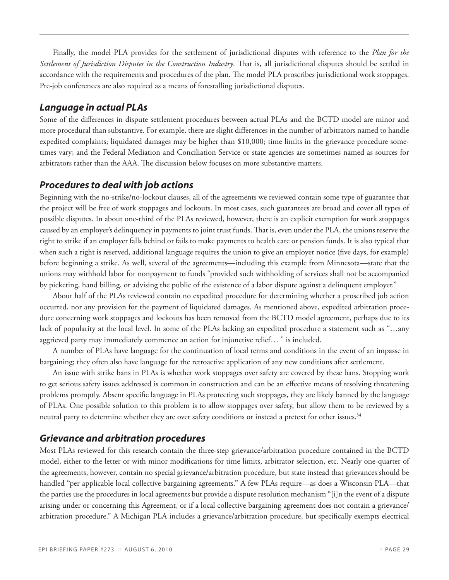Finally, the model PLA provides for the settlement of jurisdictional disputes with reference to the *Plan for the Settlement of Jurisdiction Disputes in the Construction Industry*. That is, all jurisdictional disputes should be settled in accordance with the requirements and procedures of the plan. The model PLA proscribes jurisdictional work stoppages. Pre-job conferences are also required as a means of forestalling jurisdictional disputes.

#### *Language in actual PLAs*

Some of the differences in dispute settlement procedures between actual PLAs and the BCTD model are minor and more procedural than substantive. For example, there are slight differences in the number of arbitrators named to handle expedited complaints; liquidated damages may be higher than \$10,000; time limits in the grievance procedure sometimes vary; and the Federal Mediation and Conciliation Service or state agencies are sometimes named as sources for arbitrators rather than the AAA. The discussion below focuses on more substantive matters.

#### *Procedures to deal with job actions*

Beginning with the no-strike/no-lockout clauses, all of the agreements we reviewed contain some type of guarantee that the project will be free of work stoppages and lockouts. In most cases, such guarantees are broad and cover all types of possible disputes. In about one-third of the PLAs reviewed, however, there is an explicit exemption for work stoppages caused by an employer's delinquency in payments to joint trust funds. That is, even under the PLA, the unions reserve the right to strike if an employer falls behind or fails to make payments to health care or pension funds. It is also typical that when such a right is reserved, additional language requires the union to give an employer notice (five days, for example) before beginning a strike. As well, several of the agreements—including this example from Minnesota—state that the unions may withhold labor for nonpayment to funds "provided such withholding of services shall not be accompanied by picketing, hand billing, or advising the public of the existence of a labor dispute against a delinquent employer."

About half of the PLAs reviewed contain no expedited procedure for determining whether a proscribed job action occurred, nor any provision for the payment of liquidated damages. As mentioned above, expedited arbitration procedure concerning work stoppages and lockouts has been removed from the BCTD model agreement, perhaps due to its lack of popularity at the local level. In some of the PLAs lacking an expedited procedure a statement such as "…any aggrieved party may immediately commence an action for injunctive relief… " is included.

A number of PLAs have language for the continuation of local terms and conditions in the event of an impasse in bargaining; they often also have language for the retroactive application of any new conditions after settlement.

An issue with strike bans in PLAs is whether work stoppages over safety are covered by these bans. Stopping work to get serious safety issues addressed is common in construction and can be an effective means of resolving threatening problems promptly. Absent specific language in PLAs protecting such stoppages, they are likely banned by the language of PLAs. One possible solution to this problem is to allow stoppages over safety, but allow them to be reviewed by a neutral party to determine whether they are over safety conditions or instead a pretext for other issues.34

#### *Grievance and arbitration procedures*

Most PLAs reviewed for this research contain the three-step grievance/arbitration procedure contained in the BCTD model, either to the letter or with minor modifications for time limits, arbitrator selection, etc. Nearly one-quarter of the agreements, however, contain no special grievance/arbitration procedure, but state instead that grievances should be handled "per applicable local collective bargaining agreements." A few PLAs require—as does a Wisconsin PLA—that the parties use the procedures in local agreements but provide a dispute resolution mechanism "[i]n the event of a dispute arising under or concerning this Agreement, or if a local collective bargaining agreement does not contain a grievance/ arbitration procedure." A Michigan PLA includes a grievance/arbitration procedure, but specifically exempts electrical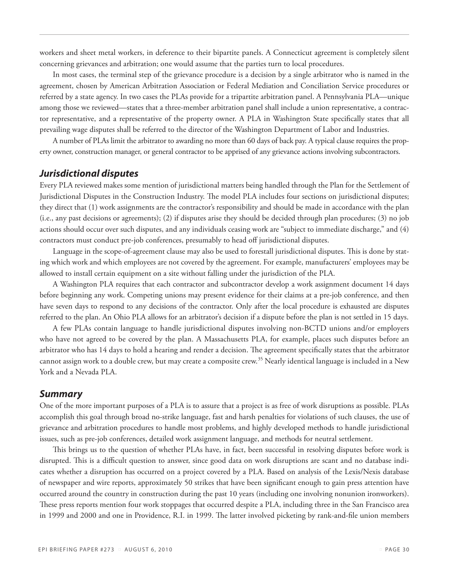workers and sheet metal workers, in deference to their bipartite panels. A Connecticut agreement is completely silent concerning grievances and arbitration; one would assume that the parties turn to local procedures.

In most cases, the terminal step of the grievance procedure is a decision by a single arbitrator who is named in the agreement, chosen by American Arbitration Association or Federal Mediation and Conciliation Service procedures or referred by a state agency. In two cases the PLAs provide for a tripartite arbitration panel. A Pennsylvania PLA—unique among those we reviewed—states that a three-member arbitration panel shall include a union representative, a contractor representative, and a representative of the property owner. A PLA in Washington State specifically states that all prevailing wage disputes shall be referred to the director of the Washington Department of Labor and Industries.

A number of PLAs limit the arbitrator to awarding no more than 60 days of back pay. A typical clause requires the property owner, construction manager, or general contractor to be apprised of any grievance actions involving subcontractors.

#### *Jurisdictional disputes*

Every PLA reviewed makes some mention of jurisdictional matters being handled through the Plan for the Settlement of Jurisdictional Disputes in the Construction Industry. The model PLA includes four sections on jurisdictional disputes; they direct that (1) work assignments are the contractor's responsibility and should be made in accordance with the plan (i.e., any past decisions or agreements); (2) if disputes arise they should be decided through plan procedures; (3) no job actions should occur over such disputes, and any individuals ceasing work are "subject to immediate discharge," and (4) contractors must conduct pre-job conferences, presumably to head off jurisdictional disputes.

Language in the scope-of-agreement clause may also be used to forestall jurisdictional disputes. This is done by stating which work and which employees are not covered by the agreement. For example, manufacturers' employees may be allowed to install certain equipment on a site without falling under the jurisdiction of the PLA.

A Washington PLA requires that each contractor and subcontractor develop a work assignment document 14 days before beginning any work. Competing unions may present evidence for their claims at a pre-job conference, and then have seven days to respond to any decisions of the contractor. Only after the local procedure is exhausted are disputes referred to the plan. An Ohio PLA allows for an arbitrator's decision if a dispute before the plan is not settled in 15 days.

A few PLAs contain language to handle jurisdictional disputes involving non-BCTD unions and/or employers who have not agreed to be covered by the plan. A Massachusetts PLA, for example, places such disputes before an arbitrator who has 14 days to hold a hearing and render a decision. The agreement specifically states that the arbitrator cannot assign work to a double crew, but may create a composite crew.<sup>35</sup> Nearly identical language is included in a New York and a Nevada PLA.

#### *Summary*

One of the more important purposes of a PLA is to assure that a project is as free of work disruptions as possible. PLAs accomplish this goal through broad no-strike language, fast and harsh penalties for violations of such clauses, the use of grievance and arbitration procedures to handle most problems, and highly developed methods to handle jurisdictional issues, such as pre-job conferences, detailed work assignment language, and methods for neutral settlement.

This brings us to the question of whether PLAs have, in fact, been successful in resolving disputes before work is disrupted. This is a difficult question to answer, since good data on work disruptions are scant and no database indicates whether a disruption has occurred on a project covered by a PLA. Based on analysis of the Lexis/Nexis database of newspaper and wire reports, approximately 50 strikes that have been significant enough to gain press attention have occurred around the country in construction during the past 10 years (including one involving nonunion ironworkers). These press reports mention four work stoppages that occurred despite a PLA, including three in the San Francisco area in 1999 and 2000 and one in Providence, R.I. in 1999. The latter involved picketing by rank-and-file union members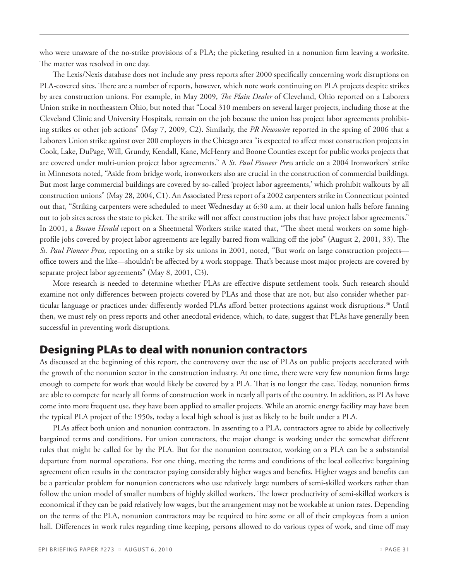who were unaware of the no-strike provisions of a PLA; the picketing resulted in a nonunion firm leaving a worksite. The matter was resolved in one day.

The Lexis/Nexis database does not include any press reports after 2000 specifically concerning work disruptions on PLA-covered sites. There are a number of reports, however, which note work continuing on PLA projects despite strikes by area construction unions. For example, in May 2009, *The Plain Dealer* of Cleveland, Ohio reported on a Laborers Union strike in northeastern Ohio, but noted that "Local 310 members on several larger projects, including those at the Cleveland Clinic and University Hospitals, remain on the job because the union has project labor agreements prohibiting strikes or other job actions" (May 7, 2009, C2). Similarly, the *PR Newswire* reported in the spring of 2006 that a Laborers Union strike against over 200 employers in the Chicago area "is expected to affect most construction projects in Cook, Lake, DuPage, Will, Grundy, Kendall, Kane, McHenry and Boone Counties except for public works projects that are covered under multi-union project labor agreements." A *St. Paul Pioneer Press* article on a 2004 Ironworkers' strike in Minnesota noted, "Aside from bridge work, ironworkers also are crucial in the construction of commercial buildings. But most large commercial buildings are covered by so-called 'project labor agreements,' which prohibit walkouts by all construction unions" (May 28, 2004, C1). An Associated Press report of a 2002 carpenters strike in Connecticut pointed out that, "Striking carpenters were scheduled to meet Wednesday at 6:30 a.m. at their local union halls before fanning out to job sites across the state to picket. The strike will not affect construction jobs that have project labor agreements." In 2001, a *Boston Herald* report on a Sheetmetal Workers strike stated that, "The sheet metal workers on some highprofile jobs covered by project labor agreements are legally barred from walking off the jobs" (August 2, 2001, 33). The *St. Paul Pioneer Press,* reporting on a strike by six unions in 2001, noted, "But work on large construction projects office towers and the like—shouldn't be affected by a work stoppage. That's because most major projects are covered by separate project labor agreements" (May 8, 2001, C3).

More research is needed to determine whether PLAs are effective dispute settlement tools. Such research should examine not only differences between projects covered by PLAs and those that are not, but also consider whether particular language or practices under differently worded PLAs afford better protections against work disruptions.36 Until then, we must rely on press reports and other anecdotal evidence, which, to date, suggest that PLAs have generally been successful in preventing work disruptions.

# Designing PLAs to deal with nonunion contractors

As discussed at the beginning of this report, the controversy over the use of PLAs on public projects accelerated with the growth of the nonunion sector in the construction industry. At one time, there were very few nonunion firms large enough to compete for work that would likely be covered by a PLA. That is no longer the case. Today, nonunion firms are able to compete for nearly all forms of construction work in nearly all parts of the country. In addition, as PLAs have come into more frequent use, they have been applied to smaller projects. While an atomic energy facility may have been the typical PLA project of the 1950s, today a local high school is just as likely to be built under a PLA.

PLAs affect both union and nonunion contractors. In assenting to a PLA, contractors agree to abide by collectively bargained terms and conditions. For union contractors, the major change is working under the somewhat different rules that might be called for by the PLA. But for the nonunion contractor, working on a PLA can be a substantial departure from normal operations. For one thing, meeting the terms and conditions of the local collective bargaining agreement often results in the contractor paying considerably higher wages and benefits. Higher wages and benefits can be a particular problem for nonunion contractors who use relatively large numbers of semi-skilled workers rather than follow the union model of smaller numbers of highly skilled workers. The lower productivity of semi-skilled workers is economical if they can be paid relatively low wages, but the arrangement may not be workable at union rates. Depending on the terms of the PLA, nonunion contractors may be required to hire some or all of their employees from a union hall. Differences in work rules regarding time keeping, persons allowed to do various types of work, and time off may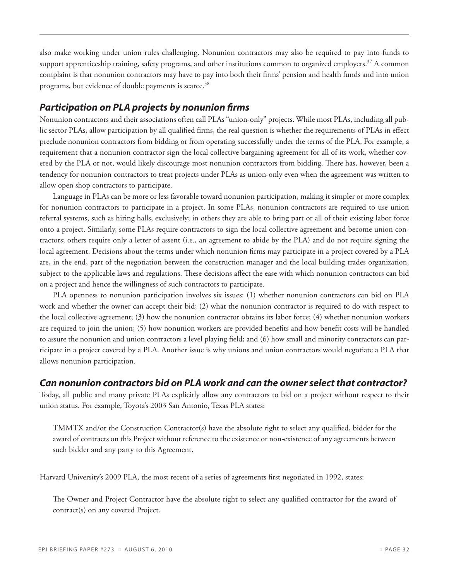also make working under union rules challenging. Nonunion contractors may also be required to pay into funds to support apprenticeship training, safety programs, and other institutions common to organized employers.<sup>37</sup> A common complaint is that nonunion contractors may have to pay into both their firms' pension and health funds and into union programs, but evidence of double payments is scarce.<sup>38</sup>

### *Participation on PLA projects by nonunion firms*

Nonunion contractors and their associations often call PLAs "union-only" projects. While most PLAs, including all public sector PLAs, allow participation by all qualified firms, the real question is whether the requirements of PLAs in effect preclude nonunion contractors from bidding or from operating successfully under the terms of the PLA. For example, a requirement that a nonunion contractor sign the local collective bargaining agreement for all of its work, whether covered by the PLA or not, would likely discourage most nonunion contractors from bidding. There has, however, been a tendency for nonunion contractors to treat projects under PLAs as union-only even when the agreement was written to allow open shop contractors to participate.

Language in PLAs can be more or less favorable toward nonunion participation, making it simpler or more complex for nonunion contractors to participate in a project. In some PLAs, nonunion contractors are required to use union referral systems, such as hiring halls, exclusively; in others they are able to bring part or all of their existing labor force onto a project. Similarly, some PLAs require contractors to sign the local collective agreement and become union contractors; others require only a letter of assent (i.e., an agreement to abide by the PLA) and do not require signing the local agreement. Decisions about the terms under which nonunion firms may participate in a project covered by a PLA are, in the end, part of the negotiation between the construction manager and the local building trades organization, subject to the applicable laws and regulations. These decisions affect the ease with which nonunion contractors can bid on a project and hence the willingness of such contractors to participate.

PLA openness to nonunion participation involves six issues: (1) whether nonunion contractors can bid on PLA work and whether the owner can accept their bid; (2) what the nonunion contractor is required to do with respect to the local collective agreement; (3) how the nonunion contractor obtains its labor force; (4) whether nonunion workers are required to join the union; (5) how nonunion workers are provided benefits and how benefit costs will be handled to assure the nonunion and union contractors a level playing field; and (6) how small and minority contractors can participate in a project covered by a PLA. Another issue is why unions and union contractors would negotiate a PLA that allows nonunion participation.

### *Can nonunion contractors bid on PLA work and can the owner select that contractor?*

Today, all public and many private PLAs explicitly allow any contractors to bid on a project without respect to their union status. For example, Toyota's 2003 San Antonio, Texas PLA states:

TMMTX and/or the Construction Contractor(s) have the absolute right to select any qualified, bidder for the award of contracts on this Project without reference to the existence or non-existence of any agreements between such bidder and any party to this Agreement.

Harvard University's 2009 PLA, the most recent of a series of agreements first negotiated in 1992, states:

The Owner and Project Contractor have the absolute right to select any qualified contractor for the award of contract(s) on any covered Project.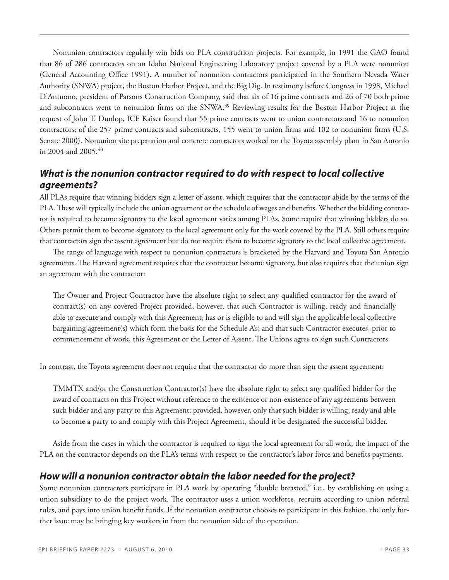Nonunion contractors regularly win bids on PLA construction projects. For example, in 1991 the GAO found that 86 of 286 contractors on an Idaho National Engineering Laboratory project covered by a PLA were nonunion (General Accounting Office 1991). A number of nonunion contractors participated in the Southern Nevada Water Authority (SNWA) project, the Boston Harbor Project, and the Big Dig. In testimony before Congress in 1998, Michael D'Antuono, president of Parsons Construction Company, said that six of 16 prime contracts and 26 of 70 both prime and subcontracts went to nonunion firms on the SNWA.<sup>39</sup> Reviewing results for the Boston Harbor Project at the request of John T. Dunlop, ICF Kaiser found that 55 prime contracts went to union contractors and 16 to nonunion contractors; of the 257 prime contracts and subcontracts, 155 went to union firms and 102 to nonunion firms (U.S. Senate 2000). Nonunion site preparation and concrete contractors worked on the Toyota assembly plant in San Antonio in 2004 and 2005.40

### *What is the nonunion contractor required to do with respect to local collective agreements?*

All PLAs require that winning bidders sign a letter of assent, which requires that the contractor abide by the terms of the PLA. These will typically include the union agreement or the schedule of wages and benefits. Whether the bidding contractor is required to become signatory to the local agreement varies among PLAs. Some require that winning bidders do so. Others permit them to become signatory to the local agreement only for the work covered by the PLA. Still others require that contractors sign the assent agreement but do not require them to become signatory to the local collective agreement.

The range of language with respect to nonunion contractors is bracketed by the Harvard and Toyota San Antonio agreements. The Harvard agreement requires that the contractor become signatory, but also requires that the union sign an agreement with the contractor:

The Owner and Project Contractor have the absolute right to select any qualified contractor for the award of contract(s) on any covered Project provided, however, that such Contractor is willing, ready and financially able to execute and comply with this Agreement; has or is eligible to and will sign the applicable local collective bargaining agreement(s) which form the basis for the Schedule A's; and that such Contractor executes, prior to commencement of work, this Agreement or the Letter of Assent. The Unions agree to sign such Contractors.

In contrast, the Toyota agreement does not require that the contractor do more than sign the assent agreement:

TMMTX and/or the Construction Contractor(s) have the absolute right to select any qualified bidder for the award of contracts on this Project without reference to the existence or non-existence of any agreements between such bidder and any party to this Agreement; provided, however, only that such bidder is willing, ready and able to become a party to and comply with this Project Agreement, should it be designated the successful bidder.

Aside from the cases in which the contractor is required to sign the local agreement for all work, the impact of the PLA on the contractor depends on the PLA's terms with respect to the contractor's labor force and benefits payments.

### *How will a nonunion contractor obtain the labor needed for the project?*

Some nonunion contractors participate in PLA work by operating "double breasted," i.e., by establishing or using a union subsidiary to do the project work. The contractor uses a union workforce, recruits according to union referral rules, and pays into union benefit funds. If the nonunion contractor chooses to participate in this fashion, the only further issue may be bringing key workers in from the nonunion side of the operation.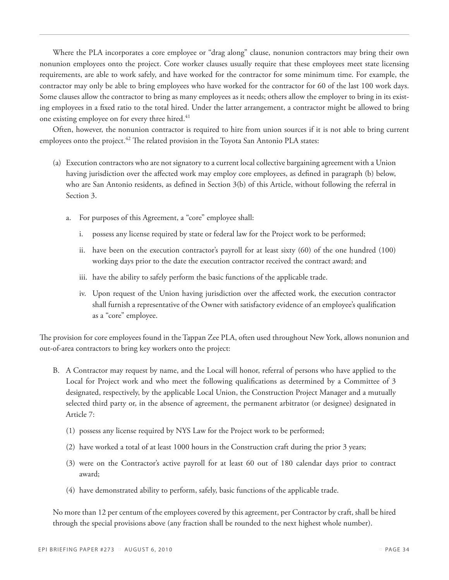Where the PLA incorporates a core employee or "drag along" clause, nonunion contractors may bring their own nonunion employees onto the project. Core worker clauses usually require that these employees meet state licensing requirements, are able to work safely, and have worked for the contractor for some minimum time. For example, the contractor may only be able to bring employees who have worked for the contractor for 60 of the last 100 work days. Some clauses allow the contractor to bring as many employees as it needs; others allow the employer to bring in its existing employees in a fixed ratio to the total hired. Under the latter arrangement, a contractor might be allowed to bring one existing employee on for every three hired.<sup>41</sup>

Often, however, the nonunion contractor is required to hire from union sources if it is not able to bring current employees onto the project.<sup>42</sup> The related provision in the Toyota San Antonio PLA states:

- (a) Execution contractors who are not signatory to a current local collective bargaining agreement with a Union having jurisdiction over the affected work may employ core employees, as defined in paragraph (b) below, who are San Antonio residents, as defined in Section 3(b) of this Article, without following the referral in Section 3.
	- a. For purposes of this Agreement, a "core" employee shall:
		- i. possess any license required by state or federal law for the Project work to be performed;
		- ii. have been on the execution contractor's payroll for at least sixty (60) of the one hundred (100) working days prior to the date the execution contractor received the contract award; and
		- iii. have the ability to safely perform the basic functions of the applicable trade.
		- iv. Upon request of the Union having jurisdiction over the affected work, the execution contractor shall furnish a representative of the Owner with satisfactory evidence of an employee's qualification as a "core" employee.

The provision for core employees found in the Tappan Zee PLA, often used throughout New York, allows nonunion and out-of-area contractors to bring key workers onto the project:

- B. A Contractor may request by name, and the Local will honor, referral of persons who have applied to the Local for Project work and who meet the following qualifications as determined by a Committee of 3 designated, respectively, by the applicable Local Union, the Construction Project Manager and a mutually selected third party or, in the absence of agreement, the permanent arbitrator (or designee) designated in Article 7:
	- (1) possess any license required by NYS Law for the Project work to be performed;
	- (2) have worked a total of at least 1000 hours in the Construction craft during the prior 3 years;
	- (3) were on the Contractor's active payroll for at least 60 out of 180 calendar days prior to contract award;
	- (4) have demonstrated ability to perform, safely, basic functions of the applicable trade.

No more than 12 per centum of the employees covered by this agreement, per Contractor by craft, shall be hired through the special provisions above (any fraction shall be rounded to the next highest whole number).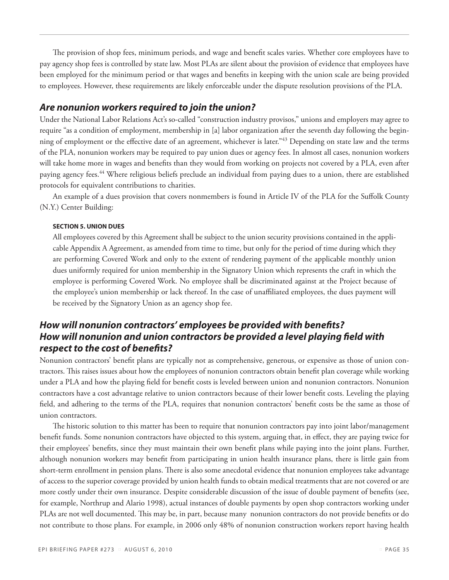The provision of shop fees, minimum periods, and wage and benefit scales varies. Whether core employees have to pay agency shop fees is controlled by state law. Most PLAs are silent about the provision of evidence that employees have been employed for the minimum period or that wages and benefits in keeping with the union scale are being provided to employees. However, these requirements are likely enforceable under the dispute resolution provisions of the PLA.

#### *Are nonunion workers required to join the union?*

Under the National Labor Relations Act's so-called "construction industry provisos," unions and employers may agree to require "as a condition of employment, membership in [a] labor organization after the seventh day following the beginning of employment or the effective date of an agreement, whichever is later."43 Depending on state law and the terms of the PLA, nonunion workers may be required to pay union dues or agency fees. In almost all cases, nonunion workers will take home more in wages and benefits than they would from working on projects not covered by a PLA, even after paying agency fees.44 Where religious beliefs preclude an individual from paying dues to a union, there are established protocols for equivalent contributions to charities.

An example of a dues provision that covers nonmembers is found in Article IV of the PLA for the Suffolk County (N.Y.) Center Building:

#### **SECTION 5. UNION DUES**

All employees covered by this Agreement shall be subject to the union security provisions contained in the applicable Appendix A Agreement, as amended from time to time, but only for the period of time during which they are performing Covered Work and only to the extent of rendering payment of the applicable monthly union dues uniformly required for union membership in the Signatory Union which represents the craft in which the employee is performing Covered Work. No employee shall be discriminated against at the Project because of the employee's union membership or lack thereof. In the case of unaffiliated employees, the dues payment will be received by the Signatory Union as an agency shop fee.

### *How will nonunion contractors' employees be provided with benefits? How will nonunion and union contractors be provided a level playing field with respect to the cost of benefits?*

Nonunion contractors' benefit plans are typically not as comprehensive, generous, or expensive as those of union contractors. This raises issues about how the employees of nonunion contractors obtain benefit plan coverage while working under a PLA and how the playing field for benefit costs is leveled between union and nonunion contractors. Nonunion contractors have a cost advantage relative to union contractors because of their lower benefit costs. Leveling the playing field, and adhering to the terms of the PLA, requires that nonunion contractors' benefit costs be the same as those of union contractors.

The historic solution to this matter has been to require that nonunion contractors pay into joint labor/management benefit funds. Some nonunion contractors have objected to this system, arguing that, in effect, they are paying twice for their employees' benefits, since they must maintain their own benefit plans while paying into the joint plans. Further, although nonunion workers may benefit from participating in union health insurance plans, there is little gain from short-term enrollment in pension plans. There is also some anecdotal evidence that nonunion employees take advantage of access to the superior coverage provided by union health funds to obtain medical treatments that are not covered or are more costly under their own insurance. Despite considerable discussion of the issue of double payment of benefits (see, for example, Northrup and Alario 1998), actual instances of double payments by open shop contractors working under PLAs are not well documented. This may be, in part, because many nonunion contractors do not provide benefits or do not contribute to those plans. For example, in 2006 only 48% of nonunion construction workers report having health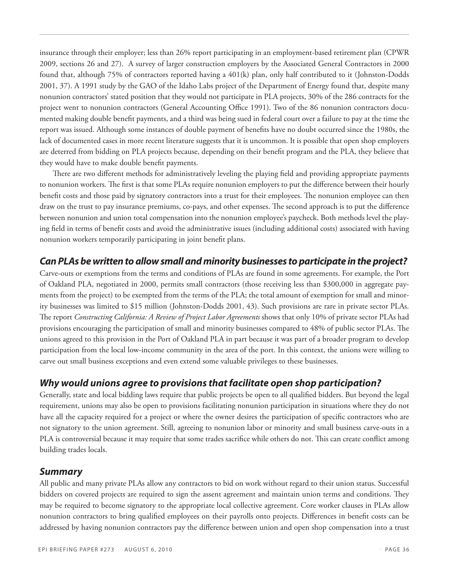insurance through their employer; less than 26% report participating in an employment-based retirement plan (CPWR 2009, sections 26 and 27). A survey of larger construction employers by the Associated General Contractors in 2000 found that, although 75% of contractors reported having a 401(k) plan, only half contributed to it (Johnston-Dodds 2001, 37). A 1991 study by the GAO of the Idaho Labs project of the Department of Energy found that, despite many nonunion contractors' stated position that they would not participate in PLA projects, 30% of the 286 contracts for the project went to nonunion contractors (General Accounting Office 1991). Two of the 86 nonunion contractors documented making double benefit payments, and a third was being sued in federal court over a failure to pay at the time the report was issued. Although some instances of double payment of benefits have no doubt occurred since the 1980s, the lack of documented cases in more recent literature suggests that it is uncommon. It is possible that open shop employers are deterred from bidding on PLA projects because, depending on their benefit program and the PLA, they believe that they would have to make double benefit payments.

There are two different methods for administratively leveling the playing field and providing appropriate payments to nonunion workers. The first is that some PLAs require nonunion employers to put the difference between their hourly benefit costs and those paid by signatory contractors into a trust for their employees. The nonunion employee can then draw on the trust to pay insurance premiums, co-pays, and other expenses. The second approach is to put the difference between nonunion and union total compensation into the nonunion employee's paycheck. Both methods level the playing field in terms of benefit costs and avoid the administrative issues (including additional costs) associated with having nonunion workers temporarily participating in joint benefit plans.

### *Can PLAs be written to allow small and minority businesses to participate in the project?*

Carve-outs or exemptions from the terms and conditions of PLAs are found in some agreements. For example, the Port of Oakland PLA, negotiated in 2000, permits small contractors (those receiving less than \$300,000 in aggregate payments from the project) to be exempted from the terms of the PLA; the total amount of exemption for small and minority businesses was limited to \$15 million (Johnston-Dodds 2001, 43). Such provisions are rare in private sector PLAs. The report *Constructing California: A Review of Project Labor Agreements* shows that only 10% of private sector PLAs had provisions encouraging the participation of small and minority businesses compared to 48% of public sector PLAs. The unions agreed to this provision in the Port of Oakland PLA in part because it was part of a broader program to develop participation from the local low-income community in the area of the port. In this context, the unions were willing to carve out small business exceptions and even extend some valuable privileges to these businesses.

### *Why would unions agree to provisions that facilitate open shop participation?*

Generally, state and local bidding laws require that public projects be open to all qualified bidders. But beyond the legal requirement, unions may also be open to provisions facilitating nonunion participation in situations where they do not have all the capacity required for a project or where the owner desires the participation of specific contractors who are not signatory to the union agreement. Still, agreeing to nonunion labor or minority and small business carve-outs in a PLA is controversial because it may require that some trades sacrifice while others do not. This can create conflict among building trades locals.

#### *Summary*

All public and many private PLAs allow any contractors to bid on work without regard to their union status. Successful bidders on covered projects are required to sign the assent agreement and maintain union terms and conditions. They may be required to become signatory to the appropriate local collective agreement. Core worker clauses in PLAs allow nonunion contractors to bring qualified employees on their payrolls onto projects. Differences in benefit costs can be addressed by having nonunion contractors pay the difference between union and open shop compensation into a trust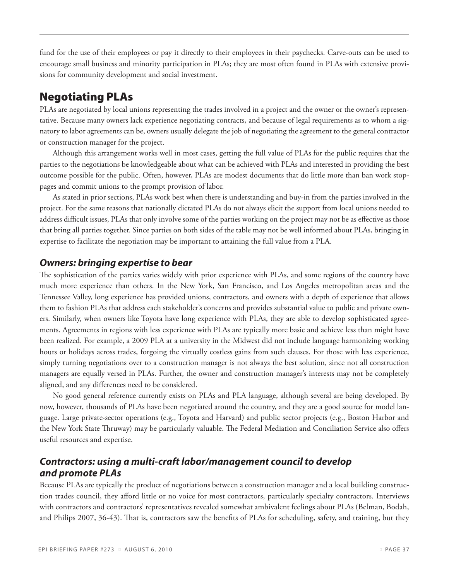fund for the use of their employees or pay it directly to their employees in their paychecks. Carve-outs can be used to encourage small business and minority participation in PLAs; they are most often found in PLAs with extensive provisions for community development and social investment.

# Negotiating PLAs

PLAs are negotiated by local unions representing the trades involved in a project and the owner or the owner's representative. Because many owners lack experience negotiating contracts, and because of legal requirements as to whom a signatory to labor agreements can be, owners usually delegate the job of negotiating the agreement to the general contractor or construction manager for the project.

Although this arrangement works well in most cases, getting the full value of PLAs for the public requires that the parties to the negotiations be knowledgeable about what can be achieved with PLAs and interested in providing the best outcome possible for the public. Often, however, PLAs are modest documents that do little more than ban work stoppages and commit unions to the prompt provision of labor.

As stated in prior sections, PLAs work best when there is understanding and buy-in from the parties involved in the project. For the same reasons that nationally dictated PLAs do not always elicit the support from local unions needed to address difficult issues, PLAs that only involve some of the parties working on the project may not be as effective as those that bring all parties together. Since parties on both sides of the table may not be well informed about PLAs, bringing in expertise to facilitate the negotiation may be important to attaining the full value from a PLA.

### *Owners: bringing expertise to bear*

The sophistication of the parties varies widely with prior experience with PLAs, and some regions of the country have much more experience than others. In the New York, San Francisco, and Los Angeles metropolitan areas and the Tennessee Valley, long experience has provided unions, contractors, and owners with a depth of experience that allows them to fashion PLAs that address each stakeholder's concerns and provides substantial value to public and private owners. Similarly, when owners like Toyota have long experience with PLAs, they are able to develop sophisticated agreements. Agreements in regions with less experience with PLAs are typically more basic and achieve less than might have been realized. For example, a 2009 PLA at a university in the Midwest did not include language harmonizing working hours or holidays across trades, forgoing the virtually costless gains from such clauses. For those with less experience, simply turning negotiations over to a construction manager is not always the best solution, since not all construction managers are equally versed in PLAs. Further, the owner and construction manager's interests may not be completely aligned, and any differences need to be considered.

No good general reference currently exists on PLAs and PLA language, although several are being developed. By now, however, thousands of PLAs have been negotiated around the country, and they are a good source for model language. Large private-sector operations (e.g., Toyota and Harvard) and public sector projects (e.g., Boston Harbor and the New York State Thruway) may be particularly valuable. The Federal Mediation and Conciliation Service also offers useful resources and expertise.

# *Contractors: using a multi-craft labor/management council to develop and promote PLAs*

Because PLAs are typically the product of negotiations between a construction manager and a local building construction trades council, they afford little or no voice for most contractors, particularly specialty contractors. Interviews with contractors and contractors' representatives revealed somewhat ambivalent feelings about PLAs (Belman, Bodah, and Philips 2007, 36-43). That is, contractors saw the benefits of PLAs for scheduling, safety, and training, but they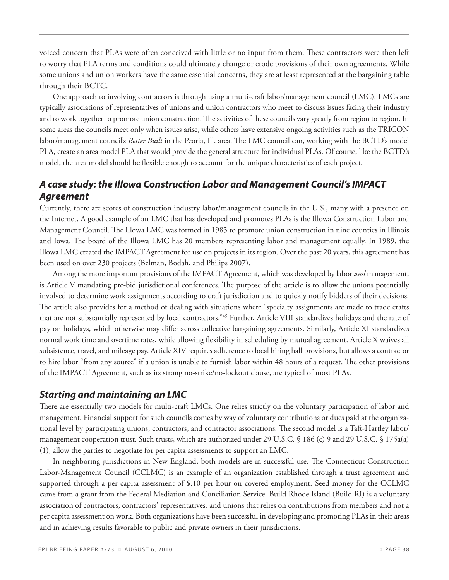voiced concern that PLAs were often conceived with little or no input from them. These contractors were then left to worry that PLA terms and conditions could ultimately change or erode provisions of their own agreements. While some unions and union workers have the same essential concerns, they are at least represented at the bargaining table through their BCTC.

One approach to involving contractors is through using a multi-craft labor/management council (LMC). LMCs are typically associations of representatives of unions and union contractors who meet to discuss issues facing their industry and to work together to promote union construction. The activities of these councils vary greatly from region to region. In some areas the councils meet only when issues arise, while others have extensive ongoing activities such as the TRICON labor/management council's *Better Built* in the Peoria, Ill. area. The LMC council can, working with the BCTD's model PLA, create an area model PLA that would provide the general structure for individual PLAs. Of course, like the BCTD's model, the area model should be flexible enough to account for the unique characteristics of each project.

### *A case study: the Illowa Construction Labor and Management Council's IMPACT Agreement*

Currently, there are scores of construction industry labor/management councils in the U.S., many with a presence on the Internet. A good example of an LMC that has developed and promotes PLAs is the Illowa Construction Labor and Management Council. The Illowa LMC was formed in 1985 to promote union construction in nine counties in Illinois and Iowa. The board of the Illowa LMC has 20 members representing labor and management equally. In 1989, the Illowa LMC created the IMPACTAgreement for use on projects in its region. Over the past 20 years, this agreement has been used on over 230 projects (Belman, Bodah, and Philips 2007).

Among the more important provisions of the IMPACT Agreement, which was developed by labor *and* management, is Article V mandating pre-bid jurisdictional conferences. The purpose of the article is to allow the unions potentially involved to determine work assignments according to craft jurisdiction and to quickly notify bidders of their decisions. The article also provides for a method of dealing with situations where "specialty assignments are made to trade crafts that are not substantially represented by local contractors."45 Further, Article VIII standardizes holidays and the rate of pay on holidays, which otherwise may differ across collective bargaining agreements. Similarly, Article XI standardizes normal work time and overtime rates, while allowing flexibility in scheduling by mutual agreement. Article X waives all subsistence, travel, and mileage pay. Article XIV requires adherence to local hiring hall provisions, but allows a contractor to hire labor "from any source" if a union is unable to furnish labor within 48 hours of a request. The other provisions of the IMPACT Agreement, such as its strong no-strike/no-lockout clause, are typical of most PLAs.

#### *Starting and maintaining an LMC*

There are essentially two models for multi-craft LMCs. One relies strictly on the voluntary participation of labor and management. Financial support for such councils comes by way of voluntary contributions or dues paid at the organizational level by participating unions, contractors, and contractor associations. The second model is a Taft-Hartley labor/ management cooperation trust. Such trusts, which are authorized under 29 U.S.C. § 186 (c) 9 and 29 U.S.C. § 175a(a) (1), allow the parties to negotiate for per capita assessments to support an LMC.

In neighboring jurisdictions in New England, both models are in successful use. The Connecticut Construction Labor-Management Council (CCLMC) is an example of an organization established through a trust agreement and supported through a per capita assessment of \$.10 per hour on covered employment. Seed money for the CCLMC came from a grant from the Federal Mediation and Conciliation Service. Build Rhode Island (Build RI) is a voluntary association of contractors, contractors' representatives, and unions that relies on contributions from members and not a per capita assessment on work. Both organizations have been successful in developing and promoting PLAs in their areas and in achieving results favorable to public and private owners in their jurisdictions.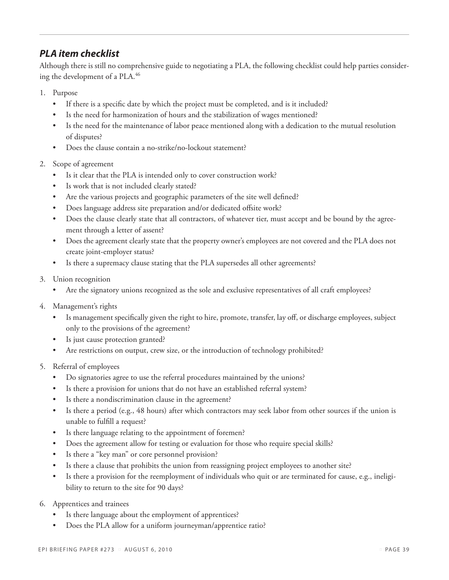### *PLA item checklist*

Although there is still no comprehensive guide to negotiating a PLA, the following checklist could help parties considering the development of a PLA.<sup>46</sup>

- 1. Purpose
	- • If there is a specific date by which the project must be completed, and is it included?
	- Is the need for harmonization of hours and the stabilization of wages mentioned?
	- Is the need for the maintenance of labor peace mentioned along with a dedication to the mutual resolution of disputes?
	- Does the clause contain a no-strike/no-lockout statement?
- 2. Scope of agreement
	- Is it clear that the PLA is intended only to cover construction work?
	- Is work that is not included clearly stated?
	- Are the various projects and geographic parameters of the site well defined?
	- Does language address site preparation and/or dedicated offsite work?
	- Does the clause clearly state that all contractors, of whatever tier, must accept and be bound by the agreement through a letter of assent?
	- Does the agreement clearly state that the property owner's employees are not covered and the PLA does not create joint-employer status?
	- Is there a supremacy clause stating that the PLA supersedes all other agreements?
- 3. Union recognition
	- Are the signatory unions recognized as the sole and exclusive representatives of all craft employees?
- 4. Management's rights
	- Is management specifically given the right to hire, promote, transfer, lay off, or discharge employees, subject only to the provisions of the agreement?
	- Is just cause protection granted?
	- Are restrictions on output, crew size, or the introduction of technology prohibited?
- 5. Referral of employees
	- Do signatories agree to use the referral procedures maintained by the unions?
	- Is there a provision for unions that do not have an established referral system?
	- • Is there a nondiscrimination clause in the agreement?
	- Is there a period (e.g., 48 hours) after which contractors may seek labor from other sources if the union is unable to fulfill a request?
	- Is there language relating to the appointment of foremen?
	- Does the agreement allow for testing or evaluation for those who require special skills?
	- • Is there a "key man" or core personnel provision?
	- Is there a clause that prohibits the union from reassigning project employees to another site?
	- Is there a provision for the reemployment of individuals who quit or are terminated for cause, e.g., ineligibility to return to the site for 90 days?
- 6. Apprentices and trainees
	- Is there language about the employment of apprentices?
	- Does the PLA allow for a uniform journeyman/apprentice ratio?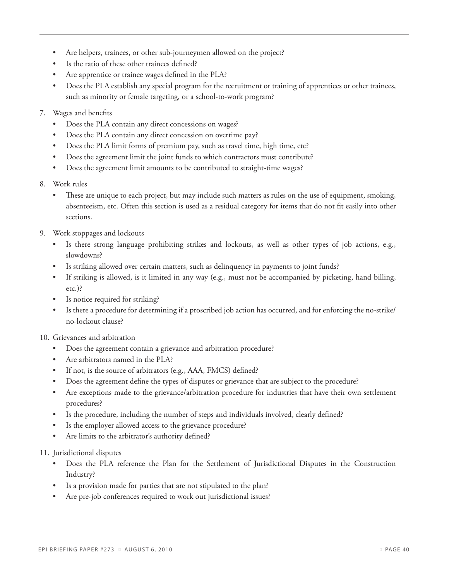- Are helpers, trainees, or other sub-journeymen allowed on the project?
- Is the ratio of these other trainees defined?
- Are apprentice or trainee wages defined in the PLA?
- Does the PLA establish any special program for the recruitment or training of apprentices or other trainees, such as minority or female targeting, or a school-to-work program?
- 7. Wages and benefits
	- Does the PLA contain any direct concessions on wages?
	- Does the PLA contain any direct concession on overtime pay?
	- Does the PLA limit forms of premium pay, such as travel time, high time, etc?
	- Does the agreement limit the joint funds to which contractors must contribute?
	- Does the agreement limit amounts to be contributed to straight-time wages?
- 8. Work rules
	- These are unique to each project, but may include such matters as rules on the use of equipment, smoking, absenteeism, etc. Often this section is used as a residual category for items that do not fit easily into other sections.
- 9. Work stoppages and lockouts
	- Is there strong language prohibiting strikes and lockouts, as well as other types of job actions, e.g., slowdowns?
	- Is striking allowed over certain matters, such as delinquency in payments to joint funds?
	- • If striking is allowed, is it limited in any way (e.g., must not be accompanied by picketing, hand billing, etc.)?
	- Is notice required for striking?
	- Is there a procedure for determining if a proscribed job action has occurred, and for enforcing the no-strike/ no-lockout clause?
- 10. Grievances and arbitration
	- Does the agreement contain a grievance and arbitration procedure?
	- Are arbitrators named in the PLA?
	- • If not, is the source of arbitrators (e.g., AAA, FMCS) defined?
	- Does the agreement define the types of disputes or grievance that are subject to the procedure?
	- Are exceptions made to the grievance/arbitration procedure for industries that have their own settlement procedures?
	- Is the procedure, including the number of steps and individuals involved, clearly defined?
	- Is the employer allowed access to the grievance procedure?
	- Are limits to the arbitrator's authority defined?
- 11. Jurisdictional disputes
	- Does the PLA reference the Plan for the Settlement of Jurisdictional Disputes in the Construction Industry?
	- Is a provision made for parties that are not stipulated to the plan?
	- Are pre-job conferences required to work out jurisdictional issues?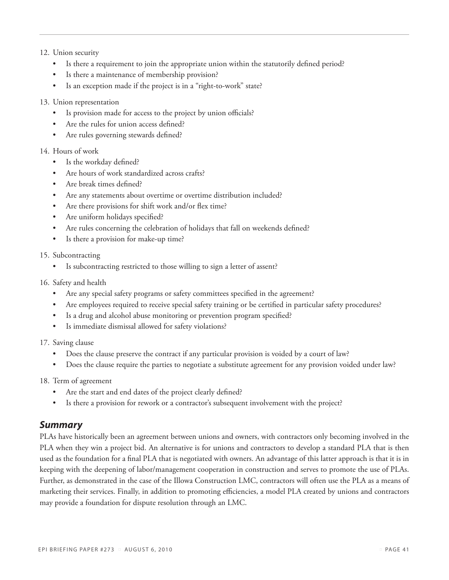#### 12. Union security

- Is there a requirement to join the appropriate union within the statutorily defined period?
- Is there a maintenance of membership provision?
- Is an exception made if the project is in a "right-to-work" state?

#### 13. Union representation

- Is provision made for access to the project by union officials?
- Are the rules for union access defined?
- Are rules governing stewards defined?

#### 14. Hours of work

- Is the workday defined?
- Are hours of work standardized across crafts?
- Are break times defined?
- Are any statements about overtime or overtime distribution included?
- Are there provisions for shift work and/or flex time?
- Are uniform holidays specified?
- Are rules concerning the celebration of holidays that fall on weekends defined?
- Is there a provision for make-up time?
- 15. Subcontracting
	- Is subcontracting restricted to those willing to sign a letter of assent?
- 16. Safety and health
	- Are any special safety programs or safety committees specified in the agreement?
	- Are employees required to receive special safety training or be certified in particular safety procedures?
	- Is a drug and alcohol abuse monitoring or prevention program specified?
	- Is immediate dismissal allowed for safety violations?
- 17. Saving clause
	- Does the clause preserve the contract if any particular provision is voided by a court of law?
	- Does the clause require the parties to negotiate a substitute agreement for any provision voided under law?

#### 18. Term of agreement

- Are the start and end dates of the project clearly defined?
- Is there a provision for rework or a contractor's subsequent involvement with the project?

#### *Summary*

PLAs have historically been an agreement between unions and owners, with contractors only becoming involved in the PLA when they win a project bid. An alternative is for unions and contractors to develop a standard PLA that is then used as the foundation for a final PLA that is negotiated with owners. An advantage of this latter approach is that it is in keeping with the deepening of labor/management cooperation in construction and serves to promote the use of PLAs. Further, as demonstrated in the case of the Illowa Construction LMC, contractors will often use the PLA as a means of marketing their services. Finally, in addition to promoting efficiencies, a model PLA created by unions and contractors may provide a foundation for dispute resolution through an LMC.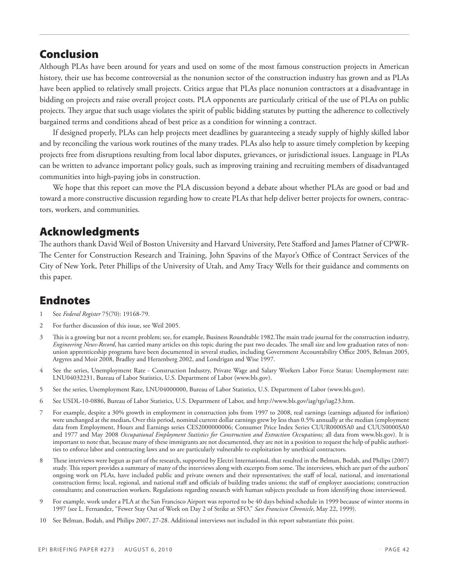# Conclusion

Although PLAs have been around for years and used on some of the most famous construction projects in American history, their use has become controversial as the nonunion sector of the construction industry has grown and as PLAs have been applied to relatively small projects. Critics argue that PLAs place nonunion contractors at a disadvantage in bidding on projects and raise overall project costs. PLA opponents are particularly critical of the use of PLAs on public projects. They argue that such usage violates the spirit of public bidding statutes by putting the adherence to collectively bargained terms and conditions ahead of best price as a condition for winning a contract.

If designed properly, PLAs can help projects meet deadlines by guaranteeing a steady supply of highly skilled labor and by reconciling the various work routines of the many trades. PLAs also help to assure timely completion by keeping projects free from disruptions resulting from local labor disputes, grievances, or jurisdictional issues. Language in PLAs can be written to advance important policy goals, such as improving training and recruiting members of disadvantaged communities into high-paying jobs in construction.

We hope that this report can move the PLA discussion beyond a debate about whether PLAs are good or bad and toward a more constructive discussion regarding how to create PLAs that help deliver better projects for owners, contractors, workers, and communities.

# Acknowledgments

The authors thank David Weil of Boston University and Harvard University, Pete Stafford and James Platner of CPWR-The Center for Construction Research and Training, John Spavins of the Mayor's Office of Contract Services of the City of New York, Peter Phillips of the University of Utah, and Amy Tracy Wells for their guidance and comments on this paper.

# Endnotes

- 1 See *Federal Register* 75(70): 19168-79.
- 2 For further discussion of this issue, see Weil 2005.
- 3 This is a growing but not a recent problem; see, for example, Business Roundtable 1982.The main trade journal for the construction industry, *Engineering News-Record*, has carried many articles on this topic during the past two decades. The small size and low graduation rates of nonunion apprenticeship programs have been documented in several studies, including Government Accountability Office 2005, Belman 2005, Argyres and Moir 2008, Bradley and Herzenberg 2002, and Londrigan and Wise 1997.
- 4 See the series, Unemployment Rate Construction Industry, Private Wage and Salary Workers Labor Force Status: Unemployment rate: LNU04032231, Bureau of Labor Statistics, U.S. Department of Labor (www.bls.gov).
- 5 See the series, Unemployment Rate, LNU04000000, Bureau of Labor Statistics, U.S. Department of Labor (www.bls.gov).
- 6 See USDL-10-0886, Bureau of Labor Statistics, U.S. Department of Labor, and http://www.bls.gov/iag/tgs/iag23.htm.
- 7 For example, despite a 30% growth in employment in construction jobs from 1997 to 2008, real earnings (earnings adjusted for inflation) were unchanged at the median**.** Over this period, nominal current dollar earnings grew by less than 0.5% annually at the median (employment data from Employment, Hours and Earnings series CES2000000006; Consumer Price Index Series CUUR0000SA0 and CUUS0000SA0 and 1977 and May 2008 *Occupational Employment Statistics for Construction and Extraction Occupations;* all data from www.bls.gov). It is important to note that, because many of these immigrants are not documented, they are not in a position to request the help of public authorities to enforce labor and contracting laws and so are particularly vulnerable to exploitation by unethical contractors.
- 8 These interviews were begun as part of the research, supported by Electri International, that resulted in the Belman, Bodah, and Philips (2007) study. This report provides a summary of many of the interviews along with excerpts from some. The interviews, which are part of the authors' ongoing work on PLAs, have included public and private owners and their representatives; the staff of local, national, and international construction firms; local, regional, and national staff and officials of building trades unions; the staff of employer associations; construction consultants; and construction workers. Regulations regarding research with human subjects preclude us from identifying those interviewed.
- 9 For example, work under a PLA at the San Francisco Airport was reported to be 40 days behind schedule in 1999 because of winter storms in 1997 (see L. Fernandez, "Fewer Stay Out of Work on Day 2 of Strike at SFO," *San Francisco Chronicle*, May 22, 1999).
- 10 See Belman, Bodah, and Philips 2007, 27-28. Additional interviews not included in this report substantiate this point.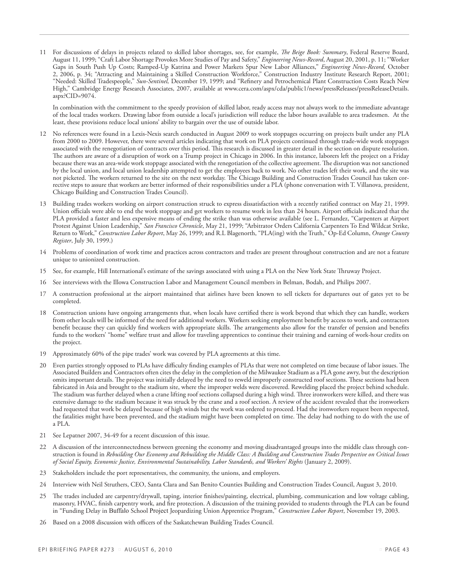11 For discussions of delays in projects related to skilled labor shortages, see, for example, *The Beige Book: Summary*, Federal Reserve Board, August 11, 1999; "Craft Labor Shortage Provokes More Studies of Pay and Safety," *Engineering News-Record*, August 20, 2001, p. 11; "Worker Gaps in South Push Up Costs; Ramped-Up Katrina and Power Markets Spur New Labor Alliances," *Engineering News-Record,* October 2, 2006, p. 34; "Attracting and Maintaining a Skilled Construction Workforce," Construction Industry Institute Research Report, 2001; "Needed: Skilled Tradespeople," *Sun-Sentinel,* December 19, 1999; and "Refinery and Petrochemical Plant Construction Costs Reach New High," Cambridge Energy Research Associates, 2007, available at www.cera.com/aspx/cda/public1/news/pressReleases/pressReleaseDetails. aspx?CID=9074.

In combination with the commitment to the speedy provision of skilled labor, ready access may not always work to the immediate advantage of the local trades workers. Drawing labor from outside a local's jurisdiction will reduce the labor hours available to area tradesmen. At the least, these provisions reduce local unions' ability to bargain over the use of outside labor.

- 12 No references were found in a Lexis-Nexis search conducted in August 2009 to work stoppages occurring on projects built under any PLA from 2000 to 2009. However, there were several articles indicating that work on PLA projects continued through trade-wide work stoppages associated with the renegotiation of contracts over this period. This research is discussed in greater detail in the section on dispute resolution. The authors are aware of a disruption of work on a Trump project in Chicago in 2006. In this instance, laborers left the project on a Friday because there was an area-wide work stoppage associated with the renegotiation of the collective agreement. The disruption was not sanctioned by the local union, and local union leadership attempted to get the employees back to work. No other trades left their work, and the site was not picketed. The workers returned to the site on the next workday. The Chicago Building and Construction Trades Council has taken corrective steps to assure that workers are better informed of their responsibilities under a PLA (phone conversation with T. Villanova, president, Chicago Building and Construction Trades Council).
- 13 Building trades workers working on airport construction struck to express dissatisfaction with a recently ratified contract on May 21, 1999. Union officials were able to end the work stoppage and get workers to resume work in less than 24 hours. Airport officials indicated that the PLA provided a faster and less expensive means of ending the strike than was otherwise available (see L. Fernandez, "Carpenters at Airport Protest Against Union Leadership," *San Francisco Chronicle*, May 21, 1999; "Arbitrator Orders California Carpenters To End Wildcat Strike, Return to Work," *Construction Labor Report*, May 26, 1999; and R.L Blagenorth, "PLA(ing) with the Truth," Op-Ed Column, *Orange County Register*, July 30, 1999.)
- 14 Problems of coordination of work time and practices across contractors and trades are present throughout construction and are not a feature unique to unionized construction.
- 15 See, for example, Hill International's estimate of the savings associated with using a PLA on the New York State Thruway Project.
- 16 See interviews with the Illowa Construction Labor and Management Council members in Belman, Bodah, and Philips 2007.
- 17 A construction professional at the airport maintained that airlines have been known to sell tickets for departures out of gates yet to be completed.
- 18 Construction unions have ongoing arrangements that, when locals have certified there is work beyond that which they can handle, workers from other locals will be informed of the need for additional workers. Workers seeking employment benefit by access to work, and contractors benefit because they can quickly find workers with appropriate skills. The arrangements also allow for the transfer of pension and benefits funds to the workers' "home" welfare trust and allow for traveling apprentices to continue their training and earning of work-hour credits on the project.
- 19 Approximately 60% of the pipe trades' work was covered by PLA agreements at this time.
- 20 Even parties strongly opposed to PLAs have difficulty finding examples of PLAs that were not completed on time because of labor issues. The Associated Builders and Contractors often cites the delay in the completion of the Milwaukee Stadium as a PLA gone awry, but the description omits important details. The project was initially delayed by the need to reweld improperly constructed roof sections. These sections had been fabricated in Asia and brought to the stadium site, where the improper welds were discovered. Rewelding placed the project behind schedule. The stadium was further delayed when a crane lifting roof sections collapsed during a high wind. Three ironworkers were killed, and there was extensive damage to the stadium because it was struck by the crane and a roof section. A review of the accident revealed that the ironworkers had requested that work be delayed because of high winds but the work was ordered to proceed. Had the ironworkers request been respected, the fatalities might have been prevented, and the stadium might have been completed on time. The delay had nothing to do with the use of a PLA.
- 21 See Lepatner 2007, 34-49 for a recent discussion of this issue.
- 22 A discussion of the interconnectedness between greening the economy and moving disadvantaged groups into the middle class through construction is found in *Rebuilding Our Economy and Rebuilding the Middle Class: A Building and Construction Trades Perspective on Critical Issues of Social Equity, Economic Justice, Environmental Sustainability, Labor Standards, and Workers' Rights* (January 2, 2009).
- 23 Stakeholders include the port representatives, the community, the unions, and employers.
- 24 Interview with Neil Struthers, CEO, Santa Clara and San Benito Counties Building and Construction Trades Council, August 3, 2010.
- 25 The trades included are carpentry/drywall, taping, interior finishes/painting, electrical, plumbing, communication and low voltage cabling, masonry, HVAC, finish carpentry work, and fire protection. A discussion of the training provided to students through the PLA can be found in "Funding Delay in Buffalo School Project Jeopardizing Union Apprentice Program," *Construction Labor Report*, November 19, 2003.
- 26 Based on a 2008 discussion with officers of the Saskatchewan Building Trades Council.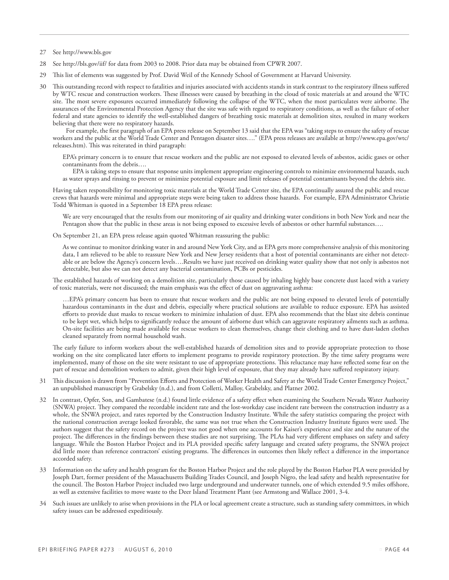- 27 See http://www.bls.gov
- 28 See http://bls.gov/iif/ for data from 2003 to 2008. Prior data may be obtained from CPWR 2007.
- 29 This list of elements was suggested by Prof. David Weil of the Kennedy School of Government at Harvard University.
- 30 This outstanding record with respect to fatalities and injuries associated with accidents stands in stark contrast to the respiratory illness suffered by WTC rescue and construction workers. These illnesses were caused by breathing in the cloud of toxic materials at and around the WTC site. The most severe exposures occurred immediately following the collapse of the WTC, when the most particulates were airborne. The assurances of the Environmental Protection Agency that the site was safe with regard to respiratory conditions, as well as the failure of other federal and state agencies to identify the well-established dangers of breathing toxic materials at demolition sites, resulted in many workers believing that there were no respiratory hazards.

For example, the first paragraph of an EPA press release on September 13 said that the EPA was "taking steps to ensure the safety of rescue workers and the public at the World Trade Center and Pentagon disaster sites…." (EPA press releases are available at http://www.epa.gov/wtc/ releases.htm). This was reiterated in third paragraph:

EPA's primary concern is to ensure that rescue workers and the public are not exposed to elevated levels of asbestos, acidic gases or other contaminants from the debris….

 EPA is taking steps to ensure that response units implement appropriate engineering controls to minimize environmental hazards, such as water sprays and rinsing to prevent or minimize potential exposure and limit releases of potential contaminants beyond the debris site.

Having taken responsibility for monitoring toxic materials at the World Trade Center site, the EPA continually assured the public and rescue crews that hazards were minimal and appropriate steps were being taken to address those hazards. For example, EPA Administrator Christie Todd Whitman is quoted in a September 18 EPA press release:

We are very encouraged that the results from our monitoring of air quality and drinking water conditions in both New York and near the Pentagon show that the public in these areas is not being exposed to excessive levels of asbestos or other harmful substances….

On September 21, an EPA press release again quoted Whitman reassuring the public:

As we continue to monitor drinking water in and around New York City, and as EPA gets more comprehensive analysis of this monitoring data, I am relieved to be able to reassure New York and New Jersey residents that a host of potential contaminants are either not detectable or are below the Agency's concern levels….Results we have just received on drinking water quality show that not only is asbestos not detectable, but also we can not detect any bacterial contamination, PCBs or pesticides.

The established hazards of working on a demolition site, particularly those caused by inhaling highly base concrete dust laced with a variety of toxic materials, were not discussed; the main emphasis was the effect of dust on aggravating asthma:

…EPA's primary concern has been to ensure that rescue workers and the public are not being exposed to elevated levels of potentially hazardous contaminants in the dust and debris, especially where practical solutions are available to reduce exposure. EPA has assisted efforts to provide dust masks to rescue workers to minimize inhalation of dust. EPA also recommends that the blast site debris continue to be kept wet, which helps to significantly reduce the amount of airborne dust which can aggravate respiratory ailments such as asthma. On-site facilities are being made available for rescue workers to clean themselves, change their clothing and to have dust-laden clothes cleaned separately from normal household wash.

The early failure to inform workers about the well-established hazards of demolition sites and to provide appropriate protection to those working on the site complicated later efforts to implement programs to provide respiratory protection. By the time safety programs were implemented, many of those on the site were resistant to use of appropriate protections. This reluctance may have reflected some fear on the part of rescue and demolition workers to admit, given their high level of exposure, that they may already have suffered respiratory injury.

- 31 This discussion is drawn from "Prevention Efforts and Protection of Worker Health and Safety at the World Trade Center Emergency Project," an unpublished manuscript by Grabelsky (n.d.), and from Colletti, Malloy, Grabelsky, and Platner 2002.
- In contrast, Opfer, Son, and Gambatese (n.d.) found little evidence of a safety effect when examining the Southern Nevada Water Authority (SNWA) project. They compared the recordable incident rate and the lost-workday case incident rate between the construction industry as a whole, the SNWA project, and rates reported by the Construction Industry Institute. While the safety statistics comparing the project with the national construction average looked favorable, the same was not true when the Construction Industry Institute figures were used. The authors suggest that the safety record on the project was not good when one accounts for Kaiser's experience and size and the nature of the project. The differences in the findings between these studies are not surprising. The PLAs had very different emphases on safety and safety language. While the Boston Harbor Project and its PLA provided specific safety language and created safety programs, the SNWA project did little more than reference contractors' existing programs. The differences in outcomes then likely reflect a difference in the importance accorded safety.
- 33 Information on the safety and health program for the Boston Harbor Project and the role played by the Boston Harbor PLA were provided by Joseph Dart, former president of the Massachusetts Building Trades Council, and Joseph Nigro, the lead safety and health representative for the council. The Boston Harbor Project included two large underground and underwater tunnels, one of which extended 9.5 miles offshore, as well as extensive facilities to move waste to the Deer Island Treatment Plant (see Armstong and Wallace 2001, 3-4.
- 34 Such issues are unlikely to arise when provisions in the PLA or local agreement create a structure, such as standing safety committees, in which safety issues can be addressed expeditiously.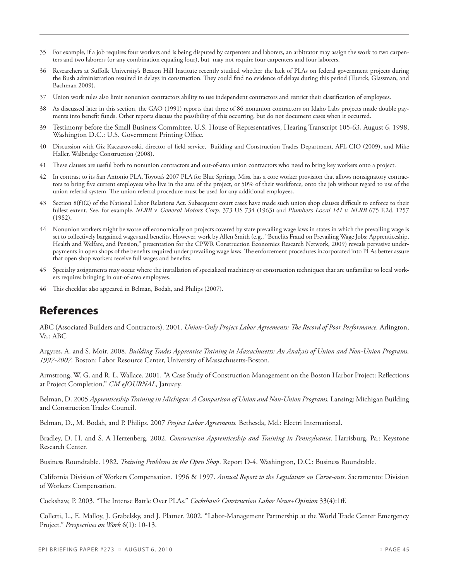- 35 For example, if a job requires four workers and is being disputed by carpenters and laborers, an arbitrator may assign the work to two carpenters and two laborers (or any combination equaling four), but may not require four carpenters and four laborers.
- 36 Researchers at Suffolk University's Beacon Hill Institute recently studied whether the lack of PLAs on federal government projects during the Bush administration resulted in delays in construction. They could find no evidence of delays during this period (Tuerck, Glassman, and Bachman 2009).
- 37 Union work rules also limit nonunion contractors ability to use independent contractors and restrict their classification of employees.
- 38 As discussed later in this section, the GAO (1991) reports that three of 86 nonunion contractors on Idaho Labs projects made double payments into benefit funds. Other reports discuss the possibility of this occurring, but do not document cases when it occurred.
- 39 Testimony before the Small Business Committee, U.S. House of Representatives, Hearing Transcript 105-63, August 6, 1998, Washington D.C.: U.S. Government Printing Office.
- 40 Discussion with Giz Kaczarowoski, director of field service, Building and Construction Trades Department, AFL-CIO (2009), and Mike Haller, Walbridge Construction (2008).
- 41 These clauses are useful both to nonunion contractors and out-of-area union contractors who need to bring key workers onto a project.
- 42 In contrast to its San Antonio PLA, Toyota's 2007 PLA for Blue Springs, Miss. has a core worker provision that allows nonsignatory contractors to bring five current employees who live in the area of the project, or 50% of their workforce, onto the job without regard to use of the union referral system. The union referral procedure must be used for any additional employees.
- Section 8(f)(2) of the National Labor Relations Act. Subsequent court cases have made such union shop clauses difficult to enforce to their fullest extent. See, for example, *NLRB v. General Motors Corp*. 373 US 734 (1963) and *Plumbers Local 141 v. NLRB* 675 F.2d. 1257 (1982).
- 44 Nonunion workers might be worse off economically on projects covered by state prevailing wage laws in states in which the prevailing wage is set to collectively bargained wages and benefits. However, work by Allen Smith (e.g., "Benefits Fraud on Prevailing Wage Jobs: Apprenticeship, Health and Welfare, and Pension," presentation for the CPWR Construction Economics Research Network, 2009) reveals pervasive underpayments in open shops of the benefits required under prevailing wage laws. The enforcement procedures incorporated into PLAs better assure that open shop workers receive full wages and benefits.
- 45 Specialty assignments may occur where the installation of specialized machinery or construction techniques that are unfamiliar to local workers requires bringing in out-of-area employees.
- 46 This checklist also appeared in Belman, Bodah, and Philips (2007).

# References

ABC (Associated Builders and Contractors). 2001. *Union-Only Project Labor Agreements: The Record of Poor Performance.* Arlington, Va.: ABC

Argyres, A. and S. Moir. 2008. *Building Trades Apprentice Training in Massachusetts: An Analysis of Union and Non-Union Programs, 1997-2007.* Boston: Labor Resource Center, University of Massachusetts-Boston.

Armstrong, W. G. and R. L. Wallace. 2001. "A Case Study of Construction Management on the Boston Harbor Project: Reflections at Project Completion." *CM eJOURNAL*, January.

Belman, D. 2005 *Apprenticeship Training in Michigan: A Comparison of Union and Non-Union Programs.* Lansing: Michigan Building and Construction Trades Council.

Belman, D., M. Bodah, and P. Philips. 2007 *Project Labor Agreements.* Bethesda, Md.: Electri International.

Bradley, D. H. and S. A Herzenberg. 2002. *Construction Apprenticeship and Training in Pennsylvania*. Harrisburg, Pa.: Keystone Research Center.

Business Roundtable. 1982. *Training Problems in the Open Shop*. Report D-4. Washington, D.C.: Business Roundtable.

California Division of Workers Compensation. 1996 & 1997. *Annual Report to the Legislature on Carve-outs*. Sacramento: Division of Workers Compensation.

Cockshaw, P. 2003. "The Intense Battle Over PLAs." *Cockshaw's Construction Labor News+Opinion* 33(4):1ff.

Colletti, L., E. Malloy, J. Grabelsky, and J. Platner. 2002. "Labor-Management Partnership at the World Trade Center Emergency Project." *Perspectives on Work* 6(1): 10-13.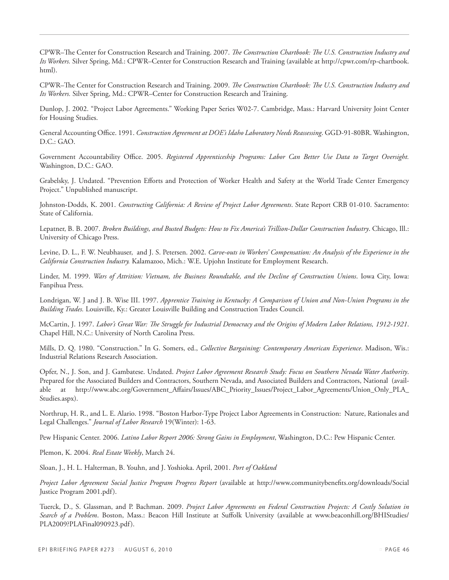CPWR–The Center for Construction Research and Training. 2007. *The Construction Chartbook: The U.S. Construction Industry and Its Workers.* Silver Spring, Md.: CPWR–Center for Construction Research and Training (available at http://cpwr.com/rp-chartbook. html).

CPWR–The Center for Construction Research and Training. 2009. *The Construction Chartbook: The U.S. Construction Industry and Its Workers.* Silver Spring, Md.: CPWR–Center for Construction Research and Training.

Dunlop, J. 2002. "Project Labor Agreements." Working Paper Series W02-7. Cambridge, Mass.: Harvard University Joint Center for Housing Studies.

General Accounting Office. 1991. *Construction Agreement at DOE's Idaho Laboratory Needs Reassessing*. GGD-91-80BR. Washington, D.C.: GAO.

Government Accountability Office. 2005. *Registered Apprenticeship Programs: Labor Can Better Use Data to Target Oversight.* Washington, D.C.: GAO.

Grabelsky, J. Undated. "Prevention Efforts and Protection of Worker Health and Safety at the World Trade Center Emergency Project." Unpublished manuscript.

Johnston-Dodds, K. 2001. *Constructing California: A Review of Project Labor Agreements*. State Report CRB 01-010. Sacramento: State of California.

Lepatner, B. B. 2007. *Broken Buildings, and Busted Budgets: How to Fix America's Trillion-Dollar Construction Industry*. Chicago, Ill.: University of Chicago Press.

Levine, D. L., F. W. Neubhauser, and J. S. Petersen. 2002. *Carve-outs in Workers' Compensation: An Analysis of the Experience in the California Construction Industry.* Kalamazoo, Mich.: W.E. Upjohn Institute for Employment Research.

Linder, M. 1999. *Wars of Attrition: Vietnam, the Business Roundtable, and the Decline of Construction Unions*. Iowa City, Iowa: Fanpihua Press.

Londrigan, W. J and J. B. Wise III. 1997. *Apprentice Training in Kentucky: A Comparison of Union and Non-Union Programs in the Building Trades.* Louisville, Ky.: Greater Louisville Building and Construction Trades Council.

McCartin, J. 1997. *Labor's Great War: The Struggle for Industrial Democracy and the Origins of Modern Labor Relations, 1912-1921*. Chapel Hill, N.C.: University of North Carolina Press.

Mills, D. Q. 1980. "Construction." In G. Somers, ed., *Collective Bargaining: Contemporary American Experience*. Madison, Wis.: Industrial Relations Research Association.

Opfer, N., J. Son, and J. Gambatese. Undated. *Project Labor Agreement Research Study: Focus on Southern Nevada Water Authority*. Prepared for the Associated Builders and Contractors, Southern Nevada, and Associated Builders and Contractors, National (available at http://www.abc.org/Government\_Affairs/Issues/ABC\_Priority\_Issues/Project\_Labor\_Agreements/Union\_Only\_PLA\_ Studies.aspx).

Northrup, H. R., and L. E. Alario. 1998. "Boston Harbor-Type Project Labor Agreements in Construction: Nature, Rationales and Legal Challenges." *Journal of Labor Research* 19(Winter): 1-63.

Pew Hispanic Center. 2006. *Latino Labor Report 2006: Strong Gains in Employment*, Washington, D.C.: Pew Hispanic Center.

Plemon, K. 2004. *Real Estate Weekly*, March 24.

Sloan, J., H. L. Halterman, B. Youhn, and J. Yoshioka. April, 2001. *Port of Oakland*

*Project Labor Agreement Social Justice Program Progress Report* (available at http://www.communitybenefits.org/downloads/Social Justice Program 2001.pdf).

Tuerck, D., S. Glassman, and P. Bachman. 2009. *Project Labor Agreements on Federal Construction Projects: A Costly Solution in Search of a Problem*. Boston, Mass.: Beacon Hill Institute at Suffolk University (available at www.beaconhill.org/BHIStudies/ PLA2009?PLAFinal090923.pdf).